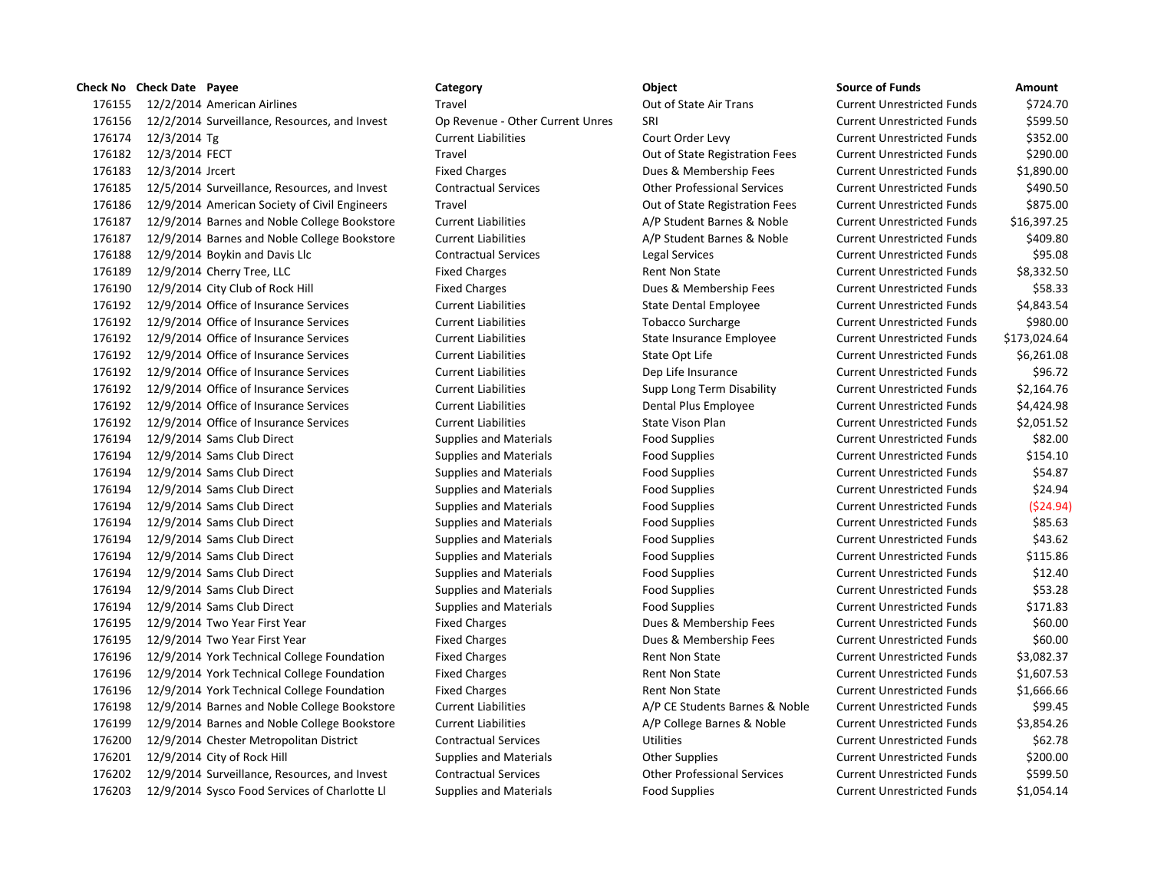|        | <b>Check No</b> Check Date Payee       |                                               | Category                         | Object                             | <b>Source of Funds</b>            | Amount       |
|--------|----------------------------------------|-----------------------------------------------|----------------------------------|------------------------------------|-----------------------------------|--------------|
| 176155 | 12/2/2014 American Airlines            |                                               | Travel                           | Out of State Air Trans             | <b>Current Unrestricted Funds</b> | \$724.70     |
| 176156 |                                        | 12/2/2014 Surveillance, Resources, and Invest | Op Revenue - Other Current Unres | SRI                                | <b>Current Unrestricted Funds</b> | \$599.50     |
| 176174 | 12/3/2014 Tg                           |                                               | <b>Current Liabilities</b>       | Court Order Levy                   | <b>Current Unrestricted Funds</b> | \$352.00     |
| 176182 | 12/3/2014 FECT                         |                                               | Travel                           | Out of State Registration Fees     | <b>Current Unrestricted Funds</b> | \$290.00     |
| 176183 | 12/3/2014 Jrcert                       |                                               | <b>Fixed Charges</b>             | Dues & Membership Fees             | <b>Current Unrestricted Funds</b> | \$1,890.00   |
| 176185 |                                        | 12/5/2014 Surveillance, Resources, and Invest | <b>Contractual Services</b>      | <b>Other Professional Services</b> | <b>Current Unrestricted Funds</b> | \$490.50     |
| 176186 |                                        | 12/9/2014 American Society of Civil Engineers | Travel                           | Out of State Registration Fees     | <b>Current Unrestricted Funds</b> | \$875.00     |
| 176187 |                                        | 12/9/2014 Barnes and Noble College Bookstore  | <b>Current Liabilities</b>       | A/P Student Barnes & Noble         | <b>Current Unrestricted Funds</b> | \$16,397.25  |
| 176187 |                                        | 12/9/2014 Barnes and Noble College Bookstore  | <b>Current Liabilities</b>       | A/P Student Barnes & Noble         | <b>Current Unrestricted Funds</b> | \$409.80     |
| 176188 | 12/9/2014 Boykin and Davis Llc         |                                               | <b>Contractual Services</b>      | Legal Services                     | <b>Current Unrestricted Funds</b> | \$95.08      |
| 176189 | 12/9/2014 Cherry Tree, LLC             |                                               | <b>Fixed Charges</b>             | <b>Rent Non State</b>              | <b>Current Unrestricted Funds</b> | \$8,332.50   |
| 176190 | 12/9/2014 City Club of Rock Hill       |                                               | <b>Fixed Charges</b>             | Dues & Membership Fees             | <b>Current Unrestricted Funds</b> | \$58.33      |
| 176192 | 12/9/2014 Office of Insurance Services |                                               | <b>Current Liabilities</b>       | State Dental Employee              | <b>Current Unrestricted Funds</b> | \$4,843.54   |
| 176192 | 12/9/2014 Office of Insurance Services |                                               | <b>Current Liabilities</b>       | <b>Tobacco Surcharge</b>           | <b>Current Unrestricted Funds</b> | \$980.00     |
| 176192 | 12/9/2014 Office of Insurance Services |                                               | <b>Current Liabilities</b>       | State Insurance Employee           | <b>Current Unrestricted Funds</b> | \$173,024.64 |
| 176192 | 12/9/2014 Office of Insurance Services |                                               | <b>Current Liabilities</b>       | State Opt Life                     | <b>Current Unrestricted Funds</b> | \$6,261.08   |
| 176192 | 12/9/2014 Office of Insurance Services |                                               | <b>Current Liabilities</b>       | Dep Life Insurance                 | <b>Current Unrestricted Funds</b> | \$96.72      |
| 176192 | 12/9/2014 Office of Insurance Services |                                               | <b>Current Liabilities</b>       | Supp Long Term Disability          | <b>Current Unrestricted Funds</b> | \$2,164.76   |
| 176192 | 12/9/2014 Office of Insurance Services |                                               | <b>Current Liabilities</b>       | Dental Plus Employee               | <b>Current Unrestricted Funds</b> | \$4,424.98   |
| 176192 | 12/9/2014 Office of Insurance Services |                                               | <b>Current Liabilities</b>       | <b>State Vison Plan</b>            | <b>Current Unrestricted Funds</b> | \$2,051.52   |
| 176194 | 12/9/2014 Sams Club Direct             |                                               | <b>Supplies and Materials</b>    | <b>Food Supplies</b>               | <b>Current Unrestricted Funds</b> | \$82.00      |
| 176194 | 12/9/2014 Sams Club Direct             |                                               | <b>Supplies and Materials</b>    | <b>Food Supplies</b>               | <b>Current Unrestricted Funds</b> | \$154.10     |
| 176194 | 12/9/2014 Sams Club Direct             |                                               | <b>Supplies and Materials</b>    | <b>Food Supplies</b>               | <b>Current Unrestricted Funds</b> | \$54.87      |
| 176194 | 12/9/2014 Sams Club Direct             |                                               | <b>Supplies and Materials</b>    | <b>Food Supplies</b>               | <b>Current Unrestricted Funds</b> | \$24.94      |
| 176194 | 12/9/2014 Sams Club Direct             |                                               | <b>Supplies and Materials</b>    | <b>Food Supplies</b>               | <b>Current Unrestricted Funds</b> | (\$24.94     |
| 176194 | 12/9/2014 Sams Club Direct             |                                               | <b>Supplies and Materials</b>    | <b>Food Supplies</b>               | <b>Current Unrestricted Funds</b> | \$85.63      |
| 176194 | 12/9/2014 Sams Club Direct             |                                               | <b>Supplies and Materials</b>    | <b>Food Supplies</b>               | <b>Current Unrestricted Funds</b> | \$43.62      |
| 176194 | 12/9/2014 Sams Club Direct             |                                               | <b>Supplies and Materials</b>    | <b>Food Supplies</b>               | <b>Current Unrestricted Funds</b> | \$115.86     |
| 176194 | 12/9/2014 Sams Club Direct             |                                               | <b>Supplies and Materials</b>    | <b>Food Supplies</b>               | <b>Current Unrestricted Funds</b> | \$12.40      |
| 176194 | 12/9/2014 Sams Club Direct             |                                               | <b>Supplies and Materials</b>    | <b>Food Supplies</b>               | <b>Current Unrestricted Funds</b> | \$53.28      |
| 176194 | 12/9/2014 Sams Club Direct             |                                               | <b>Supplies and Materials</b>    | <b>Food Supplies</b>               | <b>Current Unrestricted Funds</b> | \$171.83     |
| 176195 | 12/9/2014 Two Year First Year          |                                               | <b>Fixed Charges</b>             | Dues & Membership Fees             | <b>Current Unrestricted Funds</b> | \$60.00      |
| 176195 | 12/9/2014 Two Year First Year          |                                               | <b>Fixed Charges</b>             | Dues & Membership Fees             | <b>Current Unrestricted Funds</b> | \$60.00      |
| 176196 |                                        | 12/9/2014 York Technical College Foundation   | <b>Fixed Charges</b>             | Rent Non State                     | <b>Current Unrestricted Funds</b> | \$3,082.37   |
| 176196 |                                        | 12/9/2014 York Technical College Foundation   | <b>Fixed Charges</b>             | <b>Rent Non State</b>              | <b>Current Unrestricted Funds</b> | \$1,607.53   |
| 176196 |                                        | 12/9/2014 York Technical College Foundation   | <b>Fixed Charges</b>             | <b>Rent Non State</b>              | <b>Current Unrestricted Funds</b> | \$1,666.66   |
| 176198 |                                        | 12/9/2014 Barnes and Noble College Bookstore  | <b>Current Liabilities</b>       | A/P CE Students Barnes & Noble     | <b>Current Unrestricted Funds</b> | \$99.45      |
| 176199 |                                        | 12/9/2014 Barnes and Noble College Bookstore  | <b>Current Liabilities</b>       | A/P College Barnes & Noble         | <b>Current Unrestricted Funds</b> | \$3,854.26   |
| 176200 |                                        | 12/9/2014 Chester Metropolitan District       | <b>Contractual Services</b>      | <b>Utilities</b>                   | <b>Current Unrestricted Funds</b> | \$62.78      |
| 176201 | 12/9/2014 City of Rock Hill            |                                               | <b>Supplies and Materials</b>    | <b>Other Supplies</b>              | <b>Current Unrestricted Funds</b> | \$200.00     |
| 176202 |                                        | 12/9/2014 Surveillance, Resources, and Invest | <b>Contractual Services</b>      | <b>Other Professional Services</b> | <b>Current Unrestricted Funds</b> | \$599.50     |
| 176203 |                                        | 12/9/2014 Sysco Food Services of Charlotte Ll | <b>Supplies and Materials</b>    | <b>Food Supplies</b>               | <b>Current Unrestricted Funds</b> | \$1,054.14   |

| ource of Funds             | Amount       |
|----------------------------|--------------|
| urrent Unrestricted Funds  | \$724.70     |
| urrent Unrestricted Funds  | \$599.50     |
| urrent Unrestricted Funds  | \$352.00     |
| urrent Unrestricted Funds: | \$290.00     |
| urrent Unrestricted Funds  | \$1,890.00   |
| urrent Unrestricted Funds  | \$490.50     |
| urrent Unrestricted Funds  | \$875.00     |
| urrent Unrestricted Funds  | \$16,397.25  |
| urrent Unrestricted Funds  | \$409.80     |
| urrent Unrestricted Funds  | \$95.08      |
| urrent Unrestricted Funds  | \$8,332.50   |
| urrent Unrestricted Funds: | \$58.33      |
| urrent Unrestricted Funds  | \$4,843.54   |
| urrent Unrestricted Funds  | \$980.00     |
| urrent Unrestricted Funds  | \$173,024.64 |
| urrent Unrestricted Funds  | \$6,261.08   |
| urrent Unrestricted Funds  | \$96.72      |
| urrent Unrestricted Funds  | \$2,164.76   |
| urrent Unrestricted Funds  | \$4,424.98   |
| urrent Unrestricted Funds  | \$2,051.52   |
| urrent Unrestricted Funds  | \$82.00      |
| urrent Unrestricted Funds  | \$154.10     |
| urrent Unrestricted Funds  | \$54.87      |
| urrent Unrestricted Funds  | \$24.94      |
| urrent Unrestricted Funds  | (524.94)     |
| urrent Unrestricted Funds  | \$85.63      |
| urrent Unrestricted Funds  | \$43.62      |
| urrent Unrestricted Funds  | \$115.86     |
| urrent Unrestricted Funds  | \$12.40      |
| urrent Unrestricted Funds  | \$53.28      |
| urrent Unrestricted Funds  | \$171.83     |
| urrent Unrestricted Funds  | \$60.00      |
| urrent Unrestricted Funds  | \$60.00      |
| urrent Unrestricted Funds  | \$3,082.37   |
| urrent Unrestricted Funds  | \$1,607.53   |
| urrent Unrestricted Funds  | \$1,666.66   |
| urrent Unrestricted Funds  | \$99.45      |
| urrent Unrestricted Funds  | \$3,854.26   |
| urrent Unrestricted Funds  | \$62.78      |
| urrent Unrestricted Funds  | \$200.00     |
| urrent Unrestricted Funds  | \$599.50     |
| urrent Unrestricted Funds  | \$1.054.14   |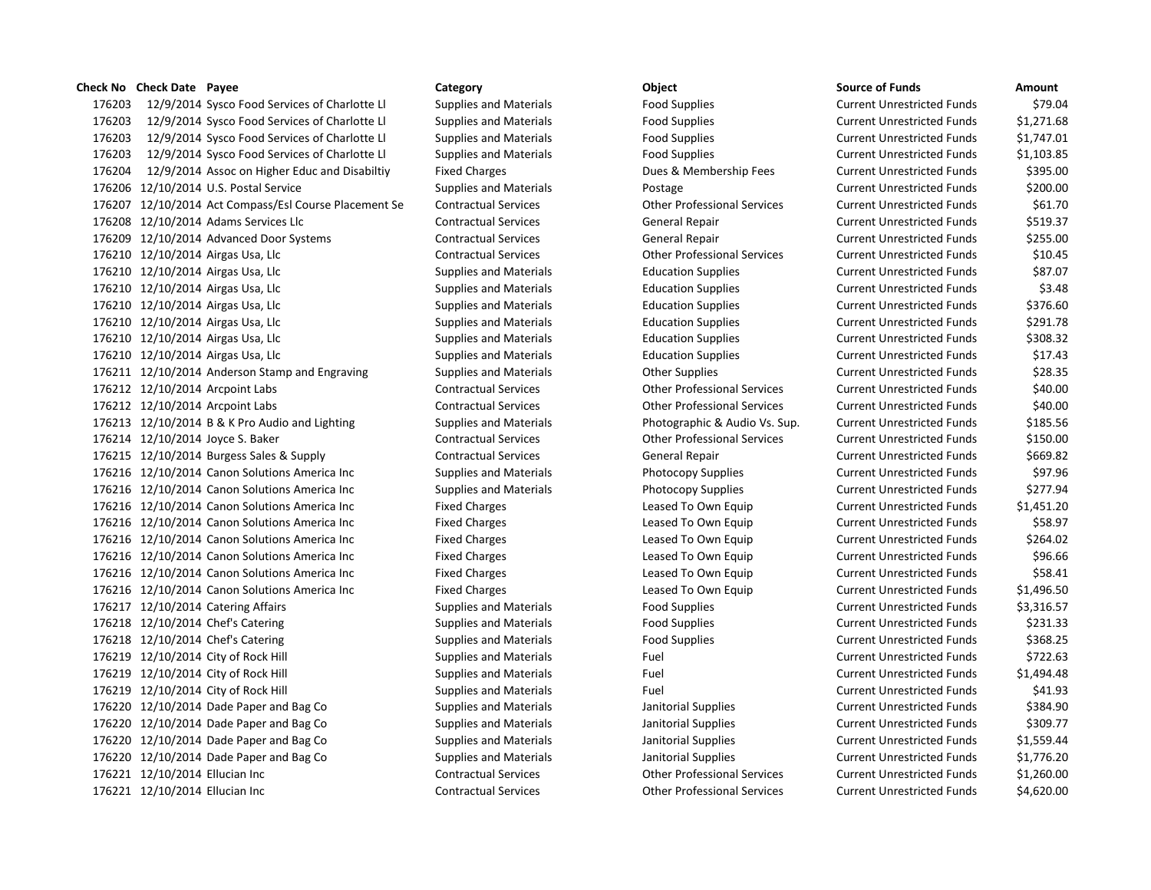12/9/2014 Sysco Food Services of Charlotte Ll Supplies and Materials Food Supplies Current Unrestricted Funds \$79.04 12/9/2014 Sysco Food Services of Charlotte Ll Supplies and Materials Food Supplies Current Unrestricted Funds \$1,271.68 12/9/2014 Sysco Food Services of Charlotte Ll Supplies and Materials Food Supplies Current Unrestricted Funds \$1,747.01 12/9/2014 Sysco Food Services of Charlotte Ll Supplies and Materials Food Supplies Current Unrestricted Funds \$1,103.85 176204 12/9/2014 Assoc on Higher Educ and Disabiltiy Fixed Charges Dues & Membership Fees Current Unrestricted Funds \$395.00 176206 12/10/2014 U.S. Postal Service Supplies and Materials Postage Postage Current Unrestricted Funds \$200.00 12/10/2014 Act Compass/Esl Course Placement Se Contractual Services Other Professional Services Current Unrestricted Funds \$61.70 12/10/2014 Adams Services Llc Contractual Services General Repair Current Unrestricted Funds \$519.37 12/10/2014 Advanced Door Systems Contractual Services General Repair Current Unrestricted Funds \$255.00 12/10/2014 Airgas Usa, Llc Contractual Services Other Professional Services Current Unrestricted Funds \$10.45 12/10/2014 Airgas Usa, Llc Supplies and Materials Education Supplies Current Unrestricted Funds \$87.07 176210 12/10/2014 Airgas Usa, Llc Supplies and Materials Education Supplies Current Unrestricted Funds \$3.48 12/10/2014 Airgas Usa, Llc Supplies and Materials Education Supplies Current Unrestricted Funds \$376.60 12/10/2014 Airgas Usa, Llc Supplies and Materials Education Supplies Current Unrestricted Funds \$291.78 12/10/2014 Airgas Usa, Llc Supplies and Materials Education Supplies Current Unrestricted Funds \$308.32 12/10/2014 Airgas Usa, Llc Supplies and Materials Education Supplies Current Unrestricted Funds \$17.43 176211 12/10/2014 Anderson Stamp and Engraving Supplies and Materials Current Unrestricted Funds 528.35 12/10/2014 Arcpoint Labs Contractual Services Other Professional Services Current Unrestricted Funds \$40.00 12/10/2014 Arcpoint Labs Contractual Services Other Professional Services Current Unrestricted Funds \$40.00 176213 12/10/2014 B & K Pro Audio and Lighting Supplies and Materials Photographic & Audio Vs. Sup. Current Unrestricted Funds \$185.56 12/10/2014 Joyce S. Baker Contractual Services Other Professional Services Current Unrestricted Funds \$150.00 12/10/2014 Burgess Sales & Supply Contractual Services General Repair Current Unrestricted Funds \$669.82 12/10/2014 Canon Solutions America Inc Supplies and Materials Photocopy Supplies Current Unrestricted Funds \$97.96 12/10/2014 Canon Solutions America Inc Supplies and Materials Photocopy Supplies Current Unrestricted Funds \$277.94 12/10/2014 Canon Solutions America Inc Fixed Charges Leased To Own Equip Current Unrestricted Funds \$1,451.20 176216 12/10/2014 Canon Solutions America Inc Fixed Charges Leased To Own Equip Current Unrestricted Funds \$58.97 12/10/2014 Canon Solutions America Inc Fixed Charges Leased To Own Equip Current Unrestricted Funds \$264.02 176216 12/10/2014 Canon Solutions America Inc Fixed Charges Leased To Own Equip Current Unrestricted Funds \$96.66 12/10/2014 Canon Solutions America Inc Fixed Charges Leased To Own Equip Current Unrestricted Funds \$58.41 12/10/2014 Canon Solutions America Inc Fixed Charges Leased To Own Equip Current Unrestricted Funds \$1,496.50 12/10/2014 Catering Affairs Supplies and Materials Food Supplies Current Unrestricted Funds \$3,316.57 176218 12/10/2014 Chef's Catering The Supplies and Materials Food Supplies Current Unrestricted Funds \$231.33 176218 12/10/2014 Chef's Catering The Supplies and Materials Food Supplies Current Unrestricted Funds \$368.25 176219 12/10/2014 City of Rock Hill Supplies and Materials Fuel Fuel Current Unrestricted Funds \$722.63 12/10/2014 City of Rock Hill Supplies and Materials Fuel Current Unrestricted Funds \$1,494.48 176219 12/10/2014 City of Rock Hill Supplies and Materials Fuel Fuel Current Unrestricted Funds \$41.93 176220 12/10/2014 Dade Paper and Bag Co Supplies and Materials Janitorial Supplies Current Unrestricted Funds \$384.90 176220 12/10/2014 Dade Paper and Bag Co Supplies and Materials Janitorial Supplies Current Unrestricted Funds \$309.77 12/10/2014 Dade Paper and Bag Co Supplies and Materials Janitorial Supplies Current Unrestricted Funds \$1,559.44 12/10/2014 Dade Paper and Bag Co Supplies and Materials Janitorial Supplies Current Unrestricted Funds \$1,776.20 12/10/2014 Ellucian Inc Contractual Services Other Professional Services Current Unrestricted Funds \$1,260.00 12/10/2014 Ellucian Inc Contractual Services Other Professional Services Current Unrestricted Funds \$4,620.00

**Check No Check Date Payee Category Object Source of Funds Amount**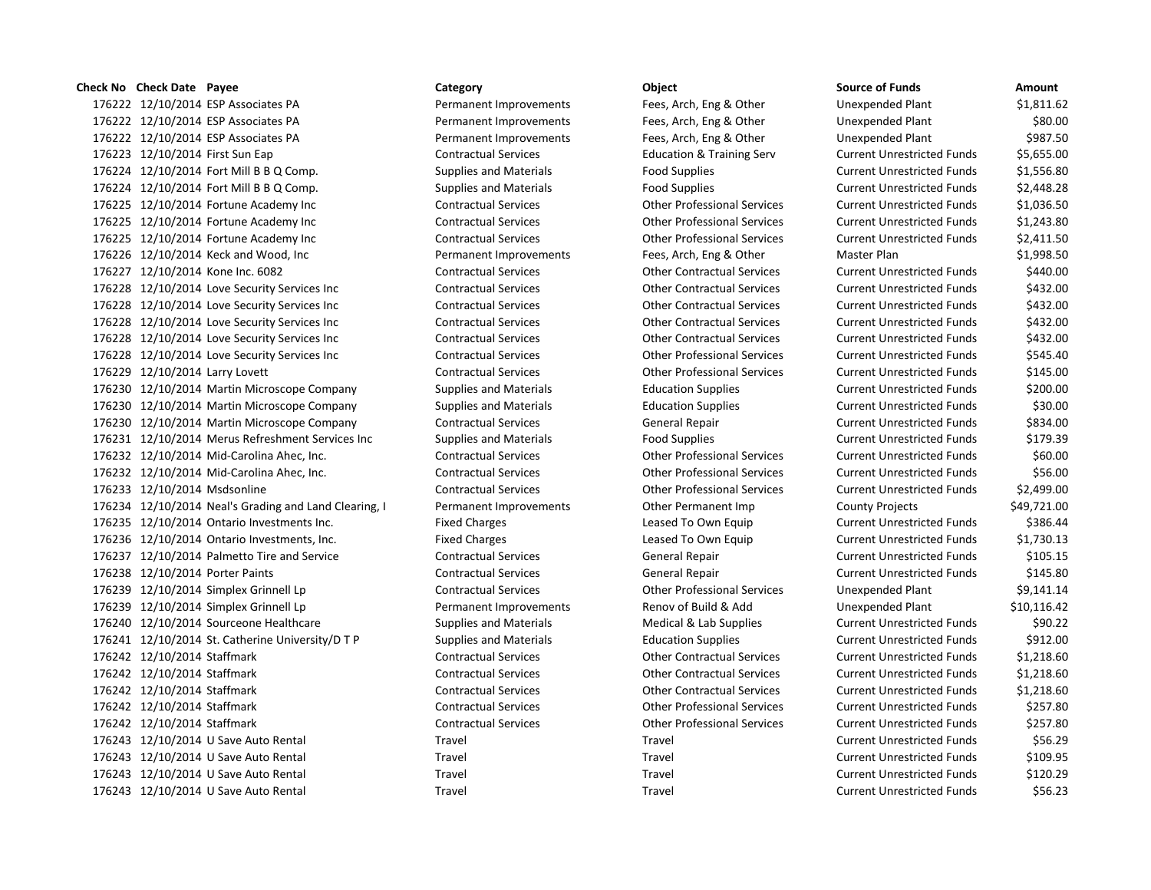## **Check No Check Date Payee Category Category Category Object**

176222 12/10/2014 ESP Associates PA **Permanent Improvements** Fees, Arch, Eng & Other 176222 12/10/2014 ESP Associates PA **Permanent Improvements** Fees, Arch, Eng & Other 176222 12/10/2014 ESP Associates PA **Permanent Improvements** Fees, Arch, Eng & Other 176223 12/10/2014 First Sun Eap Contractual Services Education & Training Serv 176224 12/10/2014 Fort Mill B B Q Comp. Supplies and Materials Food Supplies Current Pool Supplies Food Supplies Food Supplies  $\overline{a}$ 176224 12/10/2014 Fort Mill B B Q Comp. Supplies and Materials Food Supplies Current Current Current Current Cu 176225 12/10/2014 Fortune Academy Inc Contractual Services Other Professional Services 176225 12/10/2014 Fortune Academy Inc Contractual Services Other Professional Services 176225 12/10/2014 Fortune Academy Inc Contractual Services Current Current Current Current Current Other Professional Services 176226 12/10/2014 Keck and Wood, Inc **Permanent Improvements** Fees, Arch, Eng & Other 176227 12/10/2014 Kone Inc. 6082 Contractual Services Other Contractual Services 176228 12/10/2014 Love Security Services Inc Contractual Services Contractual Services Current Unrestricted Funds \$432.000 Current Unrestricted Funds \$432.000 Current Unrestricted Funds \$432.000 Current Unrestricted Funds 176228 12/10/2014 Love Security Services Inc Contractual Services Current Contractual Services Current Unrestricted Funds \$432.000 Current Unrestricted Funds \$432.000 Current Punchs \$432.000 Current Punchs \$432.000 Current 176228 12/10/2014 Love Security Services Inc Contractual Services Current Contractual Services Current Unrestricted Funds \$432.000 Current Unrestricted Funds \$432.000 Current Units \$432.000 Current Units \$432.000 Current U 176228 12/10/2014 Love Security Services Inc Contractual Services Contractual Services Current Unrestricted Funds \$432.000 Current Unrestricted Funds \$432.000 Current Unrestricted Funds \$432.000 Current Unrestricted Funds 176228 12/10/2014 Love Security Services Inc Contractual Services Current Current Current Unrestricted Funds \$ 176229 12/10/2014 Larry Lovett Contractual Services Contractual Services Current Current Unrestricted Funds \$1 176230 12/10/2014 Martin Microscope Company Supplies and Materials Education Supplies 176230 12/10/2014 Martin Microscope Company Supplies and Materials Education Supplies 176230 12/10/2014 Martin Microscope Company Contractual Services General Repair 176231 12/10/2014 Merus Refreshment Services Inc Supplies and Materials Food Supplies 176232 12/10/2014 Mid-Carolina Ahec, Inc. Contractual Services Other Professional Services 176232 12/10/2014 Mid-Carolina Ahec, Inc. Contractual Services Current Current Other Professional Services 176233 12/10/2014 Msdsonline Contractual Services Contractual Services Current Unrestricted Funds \$2,499.000 176234 12/10/2014 Neal's Grading and Land Clearing, I Permanent Improvements Cher Permanent Imp 176235 12/10/2014 Ontario Investments Inc. Fixed Charges Leased To Own Equip 176236 12/10/2014 Ontario Investments, Inc. Fixed Charges Leased To Own Equip 176237 12/10/2014 Palmetto Tire and Service Contractual Services General Repair 176238 12/10/2014 Porter Paints **Contractual Services** General Repair 176239 12/10/2014 Simplex Grinnell Lp Contractual Services Other Professional Services 176239 12/10/2014 Simplex Grinnell Lp **Permanent Improvements** Renov of Build & Add 176240 12/10/2014 Sourceone Healthcare Supplies and Materials Medical & Lab Supplies 176241 12/10/2014 St. Catherine University/D T P Supplies and Materials Education Supplies 176242 12/10/2014 Staffmark Contractual Services Contractual Services Current Unrestricted Funds & 1,218.600 176242 12/10/2014 Staffmark Contractual Services Other Contractual Services Current Unrestricted Funds \$1,218.600 176242 12/10/2014 Staffmark Contractual Services Contractual Services Current Unrestricted Funds & 1,218.600 176242 12/10/2014 Staffmark Contractual Services Contractual Services Current Unrestricted Funds & 257.800 10 176242 12/10/2014 Staffmark Contractual Services Other Professional Services 176243 12/10/2014 U Save Auto Rental Travel Travel Travel Travel 176243 12/10/2014 U Save Auto Rental Travel Travel Travel Current Current Travel 176243 12/10/2014 U Save Auto Rental Travel Travel Travel Travel 176243 12/10/2014 U Save Auto Rental Travel Travel Travel Travel

| <b>Source of Funds</b>            | Amount      |
|-----------------------------------|-------------|
| <b>Unexpended Plant</b>           | \$1,811.62  |
| <b>Unexpended Plant</b>           | \$80.00     |
| <b>Unexpended Plant</b>           | \$987.50    |
| <b>Current Unrestricted Funds</b> | \$5,655.00  |
| <b>Current Unrestricted Funds</b> | \$1,556.80  |
| <b>Current Unrestricted Funds</b> | \$2,448.28  |
| <b>Current Unrestricted Funds</b> | \$1,036.50  |
| <b>Current Unrestricted Funds</b> | \$1,243.80  |
| <b>Current Unrestricted Funds</b> | \$2,411.50  |
| Master Plan                       | \$1,998.50  |
| <b>Current Unrestricted Funds</b> | \$440.00    |
| <b>Current Unrestricted Funds</b> | \$432.00    |
| <b>Current Unrestricted Funds</b> | \$432.00    |
| <b>Current Unrestricted Funds</b> | \$432.00    |
| <b>Current Unrestricted Funds</b> | \$432.00    |
| <b>Current Unrestricted Funds</b> | \$545.40    |
| <b>Current Unrestricted Funds</b> | \$145.00    |
| <b>Current Unrestricted Funds</b> | \$200.00    |
| <b>Current Unrestricted Funds</b> | \$30.00     |
| <b>Current Unrestricted Funds</b> | \$834.00    |
| <b>Current Unrestricted Funds</b> | \$179.39    |
| <b>Current Unrestricted Funds</b> | \$60.00     |
| <b>Current Unrestricted Funds</b> | \$56.00     |
| <b>Current Unrestricted Funds</b> | \$2,499.00  |
| <b>County Projects</b>            | \$49,721.00 |
| <b>Current Unrestricted Funds</b> | \$386.44    |
| <b>Current Unrestricted Funds</b> | \$1,730.13  |
| <b>Current Unrestricted Funds</b> | \$105.15    |
| <b>Current Unrestricted Funds</b> | \$145.80    |
| <b>Unexpended Plant</b>           | \$9,141.14  |
| <b>Unexpended Plant</b>           | \$10,116.42 |
| <b>Current Unrestricted Funds</b> | \$90.22     |
| <b>Current Unrestricted Funds</b> | \$912.00    |
| <b>Current Unrestricted Funds</b> | \$1,218.60  |
| <b>Current Unrestricted Funds</b> | \$1,218.60  |
| <b>Current Unrestricted Funds</b> | \$1,218.60  |
| <b>Current Unrestricted Funds</b> | \$257.80    |
| <b>Current Unrestricted Funds</b> | \$257.80    |
| <b>Current Unrestricted Funds</b> | \$56.29     |
| <b>Current Unrestricted Funds</b> | \$109.95    |
| <b>Current Unrestricted Funds</b> | \$120.29    |
| <b>Current Unrestricted Funds</b> | \$56.23     |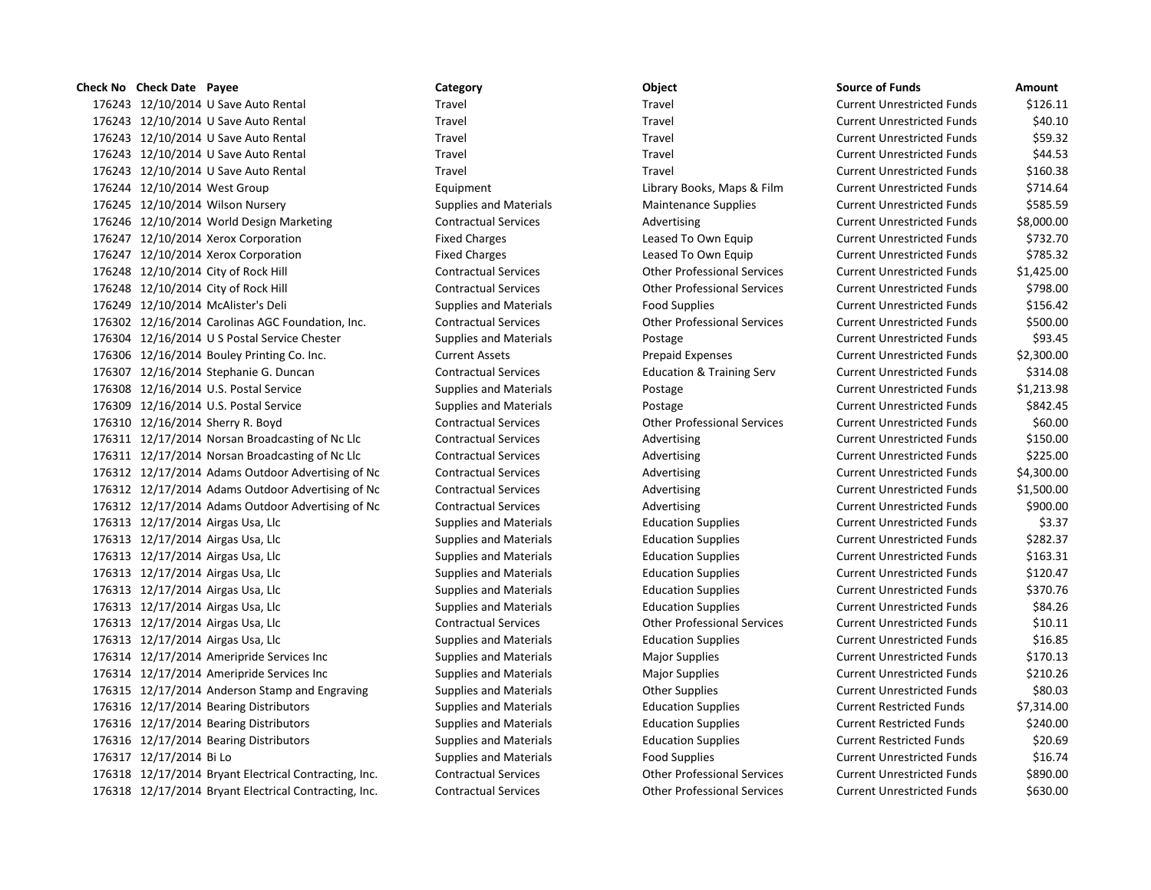12/10/2014 U Save Auto Rental Travel Travel Current Unrestricted Funds \$126.11 12/10/2014 U Save Auto Rental Travel Travel Current Unrestricted Funds \$40.10 12/10/2014 U Save Auto Rental Travel Travel Current Unrestricted Funds \$59.32 12/10/2014 U Save Auto Rental Travel Travel Current Unrestricted Funds \$44.53 12/10/2014 U Save Auto Rental Travel Travel Current Unrestricted Funds \$160.38 12/10/2014 West Group Equipment Library Books, Maps & Film Current Unrestricted Funds \$714.64 176245 12/10/2014 Wilson Nursery Supplies and Materials Maintenance Supplies Current Unrestricted Funds \$585.59 12/10/2014 World Design Marketing Contractual Services Advertising Current Unrestricted Funds \$8,000.00 176247 12/10/2014 Xerox Corporation **Fixed Charges** Exercise Leased To Own Equip Current Unrestricted Funds \$732.70 176247 12/10/2014 Xerox Corporation **Fixed Charges** Exercise Leased To Own Equip Current Unrestricted Funds \$785.32 12/10/2014 City of Rock Hill Contractual Services Other Professional Services Current Unrestricted Funds \$1,425.00 12/10/2014 City of Rock Hill Contractual Services Other Professional Services Current Unrestricted Funds \$798.00 12/10/2014 McAlister's Deli Supplies and Materials Food Supplies Current Unrestricted Funds \$156.42 12/16/2014 Carolinas AGC Foundation, Inc. Contractual Services Other Professional Services Current Unrestricted Funds \$500.00 12/16/2014 U S Postal Service Chester Supplies and Materials Postage Current Unrestricted Funds \$93.45 12/16/2014 Bouley Printing Co. Inc. Current Assets Prepaid Expenses Current Unrestricted Funds \$2,300.00 12/16/2014 Stephanie G. Duncan Contractual Services Education & Training Serv Current Unrestricted Funds \$314.08 176308 12/16/2014 U.S. Postal Service Supplies and Materials Postage Current Unrestricted Funds \$1,213.98 176309 12/16/2014 U.S. Postal Service Supplies and Materials Postage Postage Current Unrestricted Funds \$842.45 12/16/2014 Sherry R. Boyd Contractual Services Other Professional Services Current Unrestricted Funds \$60.00 12/17/2014 Norsan Broadcasting of Nc Llc Contractual Services Advertising Current Unrestricted Funds \$150.00 12/17/2014 Norsan Broadcasting of Nc Llc Contractual Services Advertising Current Unrestricted Funds \$225.00 12/17/2014 Adams Outdoor Advertising of Nc Contractual Services Advertising Current Unrestricted Funds \$4,300.00 12/17/2014 Adams Outdoor Advertising of Nc Contractual Services Advertising Current Unrestricted Funds \$1,500.00 12/17/2014 Adams Outdoor Advertising of Nc Contractual Services Advertising Current Unrestricted Funds \$900.00 176313 12/17/2014 Airgas Usa, Llc Supplies and Materials Education Supplies Current Unrestricted Funds \$3.37 176313 12/17/2014 Airgas Usa, Llc Supplies and Materials Education Supplies Current Unrestricted Funds \$282.37 176313 12/17/2014 Airgas Usa, Llc Supplies and Materials Education Supplies Current Unrestricted Funds \$163.31 12/17/2014 Airgas Usa, Llc Supplies and Materials Education Supplies Current Unrestricted Funds \$120.47 12/17/2014 Airgas Usa, Llc Supplies and Materials Education Supplies Current Unrestricted Funds \$370.76 12/17/2014 Airgas Usa, Llc Supplies and Materials Education Supplies Current Unrestricted Funds \$84.26 12/17/2014 Airgas Usa, Llc Contractual Services Other Professional Services Current Unrestricted Funds \$10.11 176313 12/17/2014 Airgas Usa, Llc Supplies and Materials Education Supplies Current Unrestricted Funds \$16.85 12/17/2014 Ameripride Services Inc Supplies and Materials Major Supplies Current Unrestricted Funds \$170.13 176314 12/17/2014 Ameripride Services Inc Supplies and Materials Major Supplies Major Supplies Current Unrestricted Funds \$210.26 176315 12/17/2014 Anderson Stamp and Engraving Supplies and Materials Other Supplies Current Unrestricted Funds \$80.03 12/17/2014 Bearing Distributors Supplies and Materials Education Supplies Current Restricted Funds \$7,314.00 12/17/2014 Bearing Distributors Supplies and Materials Education Supplies Current Restricted Funds \$240.00 12/17/2014 Bearing Distributors Supplies and Materials Education Supplies Current Restricted Funds \$20.69 12/17/2014 Bi Lo Supplies and Materials Food Supplies Current Unrestricted Funds \$16.74 12/17/2014 Bryant Electrical Contracting, Inc. Contractual Services Other Professional Services Current Unrestricted Funds \$890.00 12/17/2014 Bryant Electrical Contracting, Inc. Contractual Services Other Professional Services Current Unrestricted Funds \$630.00

# **Check No Check Date Payee Category Object Source of Funds Amount**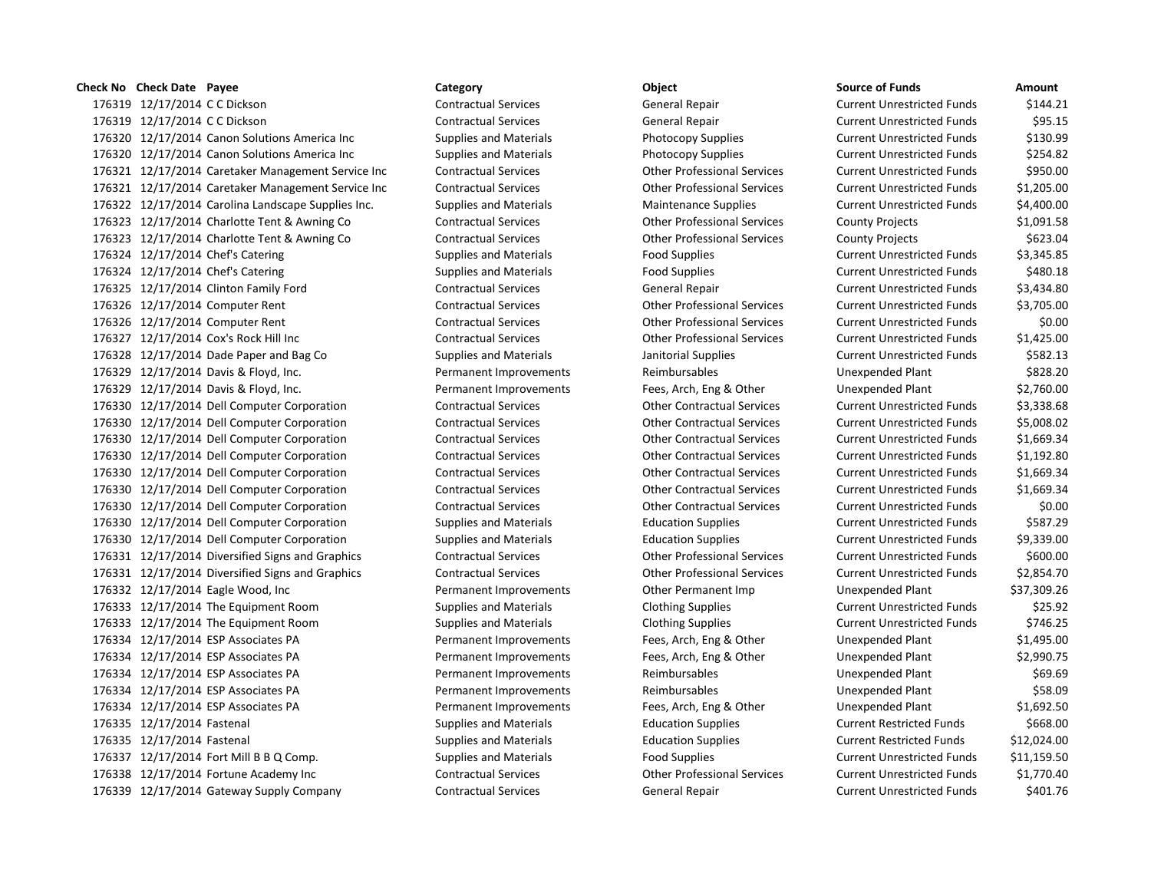## **Check No Check Date Payee Category Object Source of Funds Amount**

 12/17/2014 C C Dickson Contractual Services General Repair Current Unrestricted Funds \$144.21 12/17/2014 C C Dickson Contractual Services General Repair Current Unrestricted Funds \$95.15 12/17/2014 Canon Solutions America Inc Supplies and Materials Photocopy Supplies Current Unrestricted Funds \$130.99 12/17/2014 Canon Solutions America Inc Supplies and Materials Photocopy Supplies Current Unrestricted Funds \$254.82 12/17/2014 Caretaker Management Service Inc Contractual Services Other Professional Services Current Unrestricted Funds \$950.00 12/17/2014 Caretaker Management Service Inc Contractual Services Other Professional Services Current Unrestricted Funds \$1,205.00 12/17/2014 Carolina Landscape Supplies Inc. Supplies and Materials Maintenance Supplies Current Unrestricted Funds \$4,400.00 12/17/2014 Charlotte Tent & Awning Co Contractual Services Other Professional Services County Projects \$1,091.58 12/17/2014 Charlotte Tent & Awning Co Contractual Services Other Professional Services County Projects \$623.04 176324 12/17/2014 Chef's Catering Supplies and Materials Food Supplies Current Unrestricted Funds \$3,345.85 176324 12/17/2014 Chef's Catering Supplies and Materials Food Supplies Food Supplies Current Unrestricted Funds \$480.18 12/17/2014 Clinton Family Ford Contractual Services General Repair Current Unrestricted Funds \$3,434.80 12/17/2014 Computer Rent Contractual Services Other Professional Services Current Unrestricted Funds \$3,705.00 12/17/2014 Computer Rent Contractual Services Other Professional Services Current Unrestricted Funds \$0.00 12/17/2014 Cox's Rock Hill Inc Contractual Services Other Professional Services Current Unrestricted Funds \$1,425.00 12/17/2014 Dade Paper and Bag Co Supplies and Materials Janitorial Supplies Current Unrestricted Funds \$582.13 12/17/2014 Davis & Floyd, Inc. Permanent Improvements Reimbursables Unexpended Plant \$828.20 12/17/2014 Davis & Floyd, Inc. Permanent Improvements Fees, Arch, Eng & Other Unexpended Plant \$2,760.00 12/17/2014 Dell Computer Corporation Contractual Services Other Contractual Services Current Unrestricted Funds \$3,338.68 12/17/2014 Dell Computer Corporation Contractual Services Other Contractual Services Current Unrestricted Funds \$5,008.02 12/17/2014 Dell Computer Corporation Contractual Services Other Contractual Services Current Unrestricted Funds \$1,669.34 12/17/2014 Dell Computer Corporation Contractual Services Other Contractual Services Current Unrestricted Funds \$1,192.80 12/17/2014 Dell Computer Corporation Contractual Services Other Contractual Services Current Unrestricted Funds \$1,669.34 12/17/2014 Dell Computer Corporation Contractual Services Other Contractual Services Current Unrestricted Funds \$1,669.34 12/17/2014 Dell Computer Corporation Contractual Services Other Contractual Services Current Unrestricted Funds \$0.00 12/17/2014 Dell Computer Corporation Supplies and Materials Education Supplies Current Unrestricted Funds \$587.29 12/17/2014 Dell Computer Corporation Supplies and Materials Education Supplies Current Unrestricted Funds \$9,339.00 12/17/2014 Diversified Signs and Graphics Contractual Services Other Professional Services Current Unrestricted Funds \$600.00 12/17/2014 Diversified Signs and Graphics Contractual Services Other Professional Services Current Unrestricted Funds \$2,854.70 12/17/2014 Eagle Wood, Inc Permanent Improvements Other Permanent Imp Unexpended Plant \$37,309.26 12/17/2014 The Equipment Room Supplies and Materials Clothing Supplies Current Unrestricted Funds \$25.92 12/17/2014 The Equipment Room Supplies and Materials Clothing Supplies Current Unrestricted Funds \$746.25 12/17/2014 ESP Associates PA Permanent Improvements Fees, Arch, Eng & Other Unexpended Plant \$1,495.00 12/17/2014 ESP Associates PA Permanent Improvements Fees, Arch, Eng & Other Unexpended Plant \$2,990.75 12/17/2014 ESP Associates PA Permanent Improvements Reimbursables Unexpended Plant \$69.69 12/17/2014 ESP Associates PA Permanent Improvements Reimbursables Unexpended Plant \$58.09 12/17/2014 ESP Associates PA Permanent Improvements Fees, Arch, Eng & Other Unexpended Plant \$1,692.50 176335 12/17/2014 Fastenal Supplies and Materials Education Supplies Current Restricted Funds \$668.00 12/17/2014 Fastenal Supplies and Materials Education Supplies Current Restricted Funds \$12,024.00 176337 12/17/2014 Fort Mill B B Q Comp. Supplies and Materials Food Supplies Current Unrestricted Funds \$11,159.50 12/17/2014 Fortune Academy Inc Contractual Services Other Professional Services Current Unrestricted Funds \$1,770.40 12/17/2014 Gateway Supply Company Contractual Services General Repair Current Unrestricted Funds \$401.76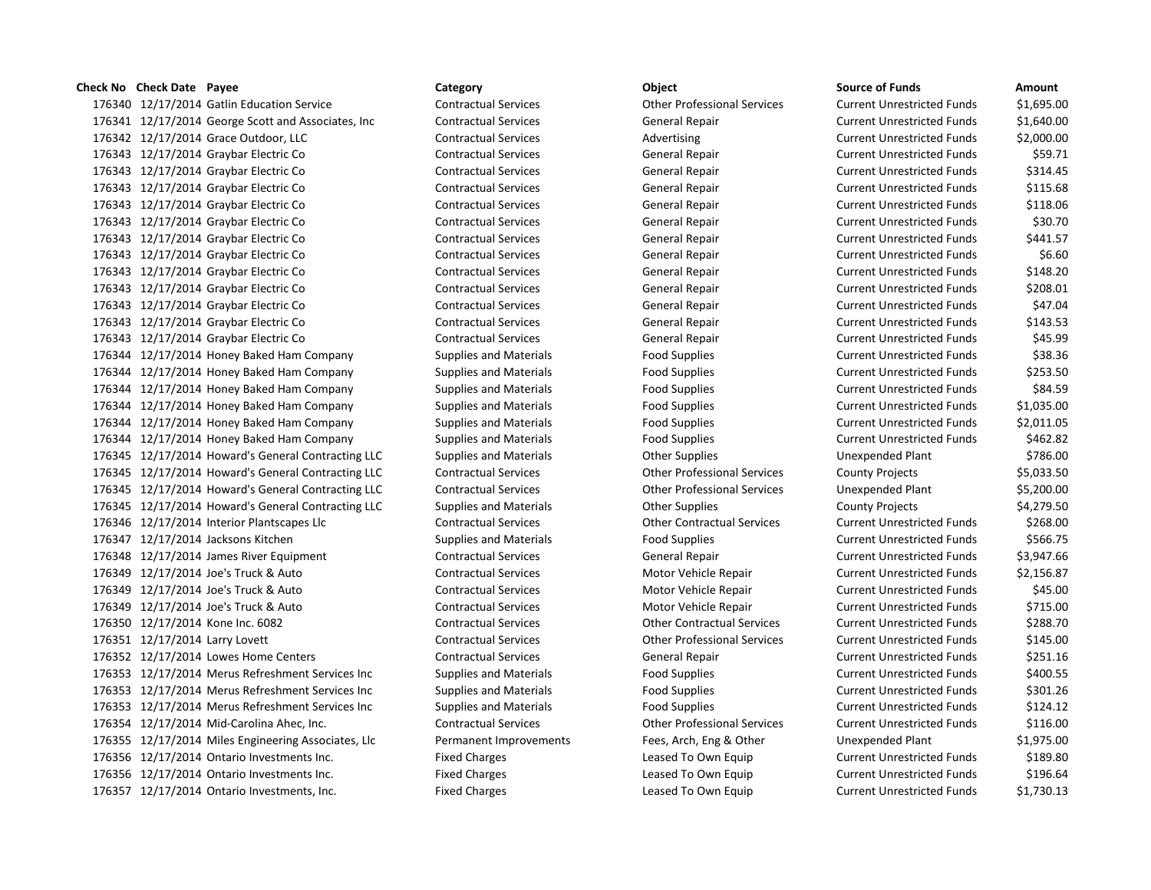## **Check No Check Date Payee Category Object Source of Funds Amount**

176340 12/17/2014 Gatlin Education Service Contractual Services Other Professional Services Current Current Cu 176341 12/17/2014 George Scott and Associates, Inc Contractual Services General Repair General Repair 176342 12/17/2014 Grace Outdoor, LLC Contractual Services Advertising Advertising Current Current Current Curr 176343 12/17/2014 Graybar Electric Co Contractual Services General Repair General Repair Current Co 176343 12/17/2014 Graybar Electric Co Contractual Services General Repair General Repair 176343 12/17/2014 Graybar Electric Co Contractual Services General Repair General Repair Current Current Current Cu 176343 12/17/2014 Graybar Electric Co Contractual Services General Repair General Repair 176343 12/17/2014 Graybar Electric Co Contractual Services General Repair General Repair 176343 12/17/2014 Graybar Electric Co Contractual Services General Repair General Repair 176343 12/17/2014 Graybar Electric Co Contractual Services General Repair 176343 12/17/2014 Graybar Electric Co Contractual Services General Repair General Repair 176343 12/17/2014 Graybar Electric Co Contractual Services General Repair General Repair Current Current Co 176343 12/17/2014 Graybar Electric Co Contractual Services General Repair General Repair 176343 12/17/2014 Graybar Electric Co Contractual Services General Repair General Repair 176343 12/17/2014 Graybar Electric Co Contractual Services General Repair General Repair Current Co 176344 12/17/2014 Honey Baked Ham Company Supplies and Materials Food Supplies Food Supplies 176344 12/17/2014 Honey Baked Ham Company Supplies and Materials Food Supplies Food Supplies 176344 12/17/2014 Honey Baked Ham Company Supplies and Materials Food Supplies Food Supplies 176344 12/17/2014 Honey Baked Ham Company Supplies and Materials Food Supplies Food Supplies 176344 12/17/2014 Honey Baked Ham Company Supplies and Materials Food Supplies Food Supplies 176344 12/17/2014 Honey Baked Ham Company Supplies and Materials Food Supplies Food Supplies 176345 12/17/2014 Howard's General Contracting LLC Supplies and Materials Conter Supplies Unexpendent State R 176345 12/17/2014 Howard's General Contracting LLC Contractual Services Contractual Services County Professional Services 176345 12/17/2014 Howard's General Contracting LLC Contractual Services Other Professional Services U 176345 12/17/2014 Howard's General Contracting LLC Supplies and Materials County Other Supplies County Project 176346 12/17/2014 Interior Plantscapes Llc Contractual Services Current Contractual Services Current Unrestricted Funds & Contractual Services Current Current Current Current Current Current Current Current Current Current 176347 12/17/2014 Jacksons Kitchen Supplies and Materials Food Supplies Food Supplies Current Current Current Cu 176348 12/17/2014 James River Equipment Contractual Services General Repair General Repair 176349 12/17/2014 Joe's Truck & Auto Contractual Services Motor Vehicle Repair Current Current Current Current C 176349 12/17/2014 Joe's Truck & Auto Contractual Services Motor Vehicle Repair Current Current Current Current C 176349 12/17/2014 Joe's Truck & Auto Contractual Services Motor Vehicle Repair Current Current Current Current C 176350 12/17/2014 Kone Inc. 6082 Contractual Services Other Contractual Services Current Unrestricted Funds \$ 176351 12/17/2014 Larry Lovett Contractual Services Other Professional Services Current Unrestricted Funds \$145 176352 12/17/2014 Lowes Home Centers Contractual Services General Repair General Repair 176353 12/17/2014 Merus Refreshment Services Inc Supplies and Materials Food Supplies Food Supplies Current Cu 176353 12/17/2014 Merus Refreshment Services Inc Supplies and Materials Food Supplies Food Supplies 176353 12/17/2014 Merus Refreshment Services Inc Supplies and Materials Food Supplies Food Supplies 176354 12/17/2014 Mid-Carolina Ahec, Inc. Contractual Services Other Professional Services Current Unrestricted Funds \$116.000 Current Unrestricted Funds \$116.000 Current Unrestricted Funds \$116.000 Current Unrestricted Fu 176355 12/17/2014 Miles Engineering Associates, Llc Permanent Improvements Fees, Arch, Eng & Other Unexpended P 176356 12/17/2014 Ontario Investments Inc. Fixed Charges Leased To Own Equip Current Current Current Current Cu 176356 12/17/2014 Ontario Investments Inc. Fixed Charges Eleased To Own Equip 176357 12/17/2014 Ontario Investments, Inc. Fixed Charges Leased To Own Equip Current Unrestricted Funds \$1,730.13

| ounce on Funus             | unvunt     |
|----------------------------|------------|
| Current Unrestricted Funds | \$1,695.00 |
| Current Unrestricted Funds | \$1,640.00 |
| Current Unrestricted Funds | \$2,000.00 |
| Current Unrestricted Funds | \$59.71    |
| Current Unrestricted Funds | \$314.45   |
| Current Unrestricted Funds | \$115.68   |
| Current Unrestricted Funds | \$118.06   |
| Current Unrestricted Funds | \$30.70    |
| Current Unrestricted Funds | \$441.57   |
| Current Unrestricted Funds | \$6.60     |
| Current Unrestricted Funds | \$148.20   |
| Current Unrestricted Funds | \$208.01   |
| Current Unrestricted Funds | \$47.04    |
| Current Unrestricted Funds | \$143.53   |
| Current Unrestricted Funds | \$45.99    |
| Current Unrestricted Funds | \$38.36    |
| Current Unrestricted Funds | \$253.50   |
| Current Unrestricted Funds | \$84.59    |
| Current Unrestricted Funds | \$1,035.00 |
| Current Unrestricted Funds | \$2,011.05 |
| Current Unrestricted Funds | \$462.82   |
| Jnexpended Plant           | \$786.00   |
| County Projects            | \$5,033.50 |
| Jnexpended Plant           | \$5,200.00 |
| County Projects            | \$4,279.50 |
| Current Unrestricted Funds | \$268.00   |
| Current Unrestricted Funds | \$566.75   |
| Current Unrestricted Funds | \$3,947.66 |
| Current Unrestricted Funds | \$2,156.87 |
| Current Unrestricted Funds | \$45.00    |
| Current Unrestricted Funds | \$715.00   |
| Current Unrestricted Funds | \$288.70   |
| Current Unrestricted Funds | \$145.00   |
| Current Unrestricted Funds | \$251.16   |
| Current Unrestricted Funds | \$400.55   |
| Current Unrestricted Funds | \$301.26   |
| Current Unrestricted Funds | \$124.12   |
| Current Unrestricted Funds | \$116.00   |
| Jnexpended Plant           | \$1,975.00 |
| Current Unrestricted Funds | \$189.80   |
| Current Unrestricted Funds | \$196.64   |
| .                          | 4.720.42   |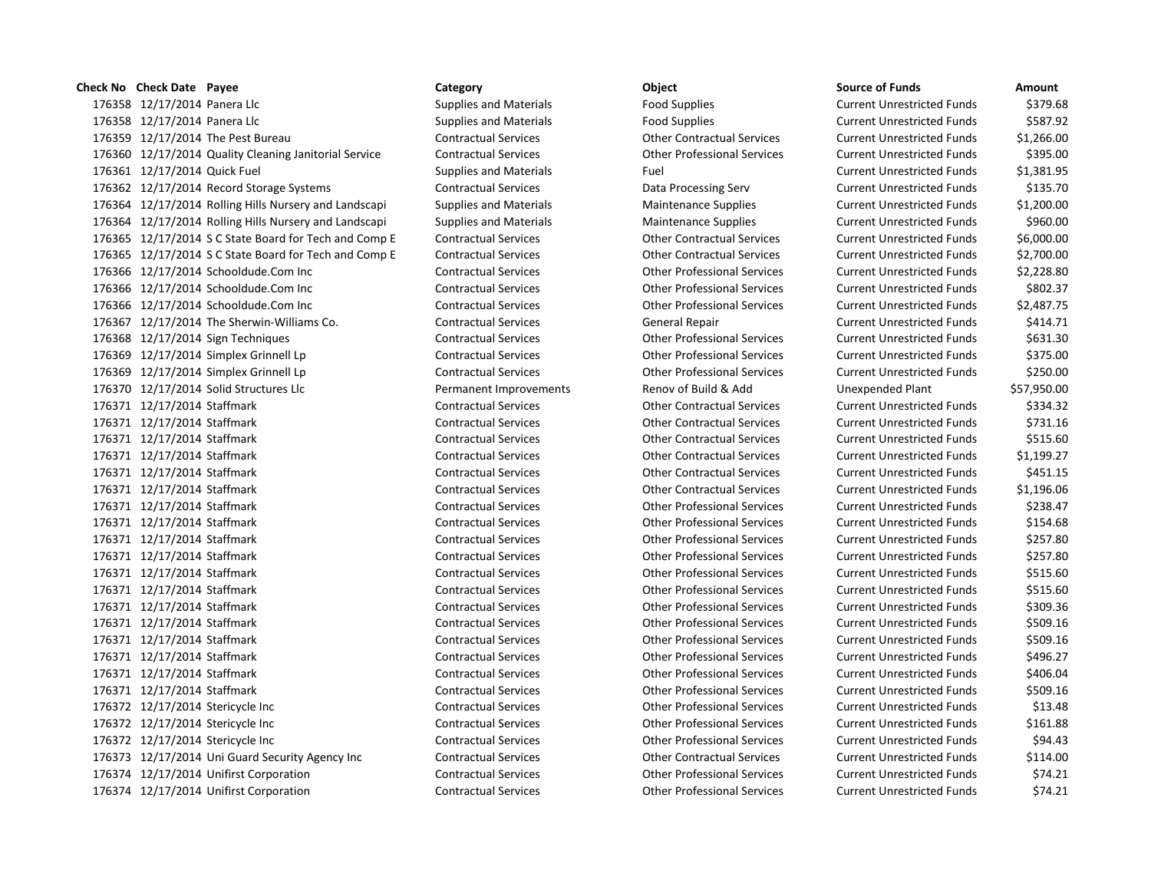# 176358 12/17/2014 Panera Llc **Supplies and Materials** Food Supplies Food Supplies Current Unrestricted Funds \$379.68 176358 12/17/2014 Panera Llc **Supplies and Materials** Food Supplies Food Supplies Current Unrestricted Funds \$587.92 12/17/2014 The Pest Bureau Contractual Services Other Contractual Services Current Unrestricted Funds \$1,266.00 12/17/2014 Quality Cleaning Janitorial Service Contractual Services Other Professional Services Current Unrestricted Funds \$395.00 176361 12/17/2014 Quick Fuel Supplies and Materials Fuel Fuel Current Unrestricted Funds \$1,381.95 12/17/2014 Record Storage Systems Contractual Services Data Processing Serv Current Unrestricted Funds \$135.70 12/17/2014 Rolling Hills Nursery and Landscapi Supplies and Materials Maintenance Supplies Current Unrestricted Funds \$1,200.00 176364 12/17/2014 Rolling Hills Nursery and Landscapi Supplies and Materials Maintenance Supplies Current Unrestricted Funds \$960.00 12/17/2014 S C State Board for Tech and Comp E Contractual Services Other Contractual Services Current Unrestricted Funds \$6,000.00 12/17/2014 S C State Board for Tech and Comp E Contractual Services Other Contractual Services Current Unrestricted Funds \$2,700.00 12/17/2014 Schooldude.Com Inc Contractual Services Other Professional Services Current Unrestricted Funds \$2,228.80 12/17/2014 Schooldude.Com Inc Contractual Services Other Professional Services Current Unrestricted Funds \$802.37 12/17/2014 Schooldude.Com Inc Contractual Services Other Professional Services Current Unrestricted Funds \$2,487.75 12/17/2014 The Sherwin-Williams Co. Contractual Services General Repair Current Unrestricted Funds \$414.71 12/17/2014 Sign Techniques Contractual Services Other Professional Services Current Unrestricted Funds \$631.30 12/17/2014 Simplex Grinnell Lp Contractual Services Other Professional Services Current Unrestricted Funds \$375.00 12/17/2014 Simplex Grinnell Lp Contractual Services Other Professional Services Current Unrestricted Funds \$250.00 12/17/2014 Solid Structures Llc Permanent Improvements Renov of Build & Add Unexpended Plant \$57,950.00 12/17/2014 Staffmark Contractual Services Other Contractual Services Current Unrestricted Funds \$334.32 12/17/2014 Staffmark Contractual Services Other Contractual Services Current Unrestricted Funds \$731.16 12/17/2014 Staffmark Contractual Services Other Contractual Services Current Unrestricted Funds \$515.60 12/17/2014 Staffmark Contractual Services Other Contractual Services Current Unrestricted Funds \$1,199.27 12/17/2014 Staffmark Contractual Services Other Contractual Services Current Unrestricted Funds \$451.15 12/17/2014 Staffmark Contractual Services Other Contractual Services Current Unrestricted Funds \$1,196.06 12/17/2014 Staffmark Contractual Services Other Professional Services Current Unrestricted Funds \$238.47 12/17/2014 Staffmark Contractual Services Other Professional Services Current Unrestricted Funds \$154.68 12/17/2014 Staffmark Contractual Services Other Professional Services Current Unrestricted Funds \$257.80 12/17/2014 Staffmark Contractual Services Other Professional Services Current Unrestricted Funds \$257.80 12/17/2014 Staffmark Contractual Services Other Professional Services Current Unrestricted Funds \$515.60 12/17/2014 Staffmark Contractual Services Other Professional Services Current Unrestricted Funds \$515.60 12/17/2014 Staffmark Contractual Services Other Professional Services Current Unrestricted Funds \$309.36 12/17/2014 Staffmark Contractual Services Other Professional Services Current Unrestricted Funds \$509.16 12/17/2014 Staffmark Contractual Services Other Professional Services Current Unrestricted Funds \$509.16 12/17/2014 Staffmark Contractual Services Other Professional Services Current Unrestricted Funds \$496.27 12/17/2014 Staffmark Contractual Services Other Professional Services Current Unrestricted Funds \$406.04 12/17/2014 Staffmark Contractual Services Other Professional Services Current Unrestricted Funds \$509.16 12/17/2014 Stericycle Inc Contractual Services Other Professional Services Current Unrestricted Funds \$13.48 12/17/2014 Stericycle Inc Contractual Services Other Professional Services Current Unrestricted Funds \$161.88 12/17/2014 Stericycle Inc Contractual Services Other Professional Services Current Unrestricted Funds \$94.43 12/17/2014 Uni Guard Security Agency Inc Contractual Services Other Contractual Services Current Unrestricted Funds \$114.00 12/17/2014 Unifirst Corporation Contractual Services Other Professional Services Current Unrestricted Funds \$74.21 12/17/2014 Unifirst Corporation Contractual Services Other Professional Services Current Unrestricted Funds \$74.21

# **Check No Check Date Payee Category Category Category Category Category Category Category Category Category Category Category Category Category Category Category Category Category Ca**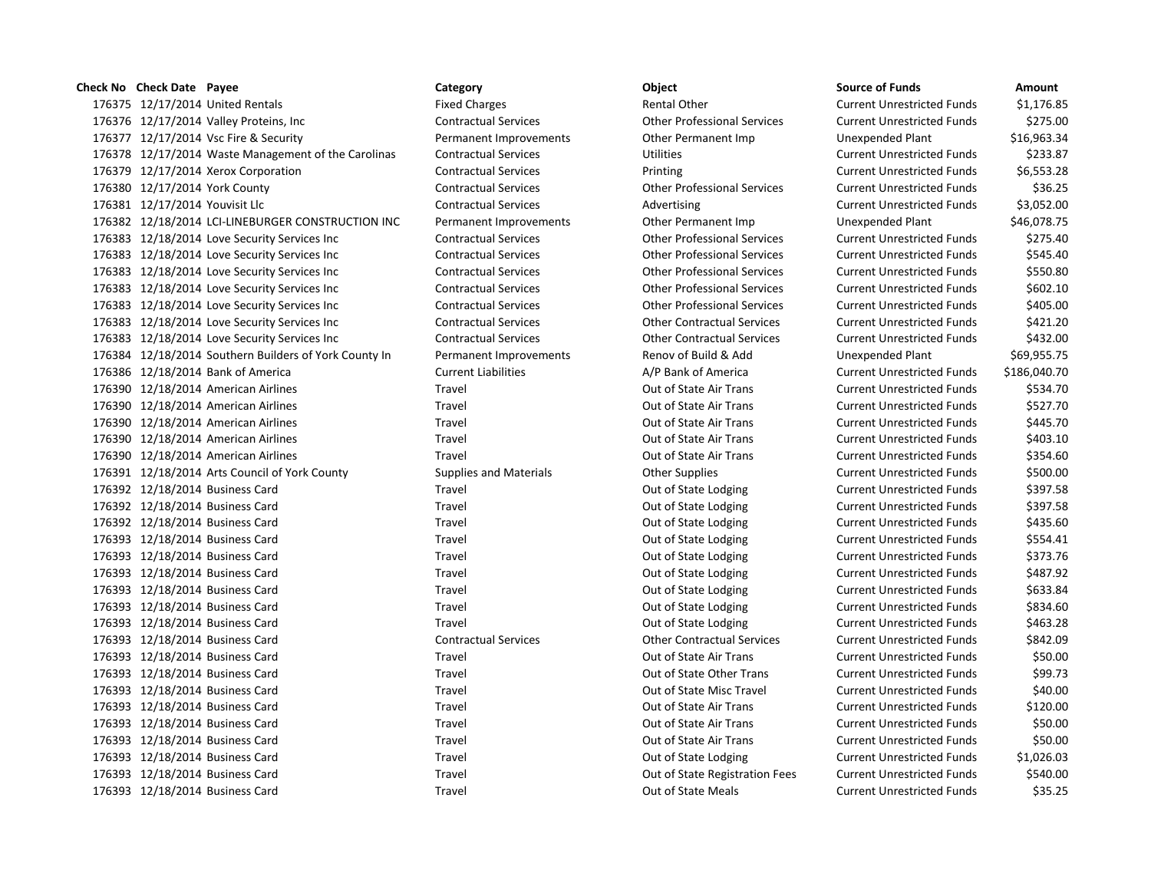# 12/17/2014 United Rentals Fixed Charges Rental Other Current Unrestricted Funds \$1,176.85 12/17/2014 Valley Proteins, Inc Contractual Services Other Professional Services Current Unrestricted Funds \$275.00 12/17/2014 Vsc Fire & Security Permanent Improvements Other Permanent Imp Unexpended Plant \$16,963.34 176378 12/17/2014 Waste Management of the Carolinas Contractual Services Utilities Utilities Current Unrestricted Funds \$233.87 12/17/2014 Xerox Corporation Contractual Services Printing Current Unrestricted Funds \$6,553.28 12/17/2014 York County Contractual Services Other Professional Services Current Unrestricted Funds \$36.25 12/17/2014 Youvisit Llc Contractual Services Advertising Current Unrestricted Funds \$3,052.00 12/18/2014 LCI-LINEBURGER CONSTRUCTION INC Permanent Improvements Other Permanent Imp Unexpended Plant \$46,078.75 12/18/2014 Love Security Services Inc Contractual Services Other Professional Services Current Unrestricted Funds \$275.40 12/18/2014 Love Security Services Inc Contractual Services Other Professional Services Current Unrestricted Funds \$545.40 12/18/2014 Love Security Services Inc Contractual Services Other Professional Services Current Unrestricted Funds \$550.80 12/18/2014 Love Security Services Inc Contractual Services Other Professional Services Current Unrestricted Funds \$602.10 12/18/2014 Love Security Services Inc Contractual Services Other Professional Services Current Unrestricted Funds \$405.00 12/18/2014 Love Security Services Inc Contractual Services Other Contractual Services Current Unrestricted Funds \$421.20 12/18/2014 Love Security Services Inc Contractual Services Other Contractual Services Current Unrestricted Funds \$432.00 12/18/2014 Southern Builders of York County In Permanent Improvements Renov of Build & Add Unexpended Plant \$69,955.75 12/18/2014 Bank of America Current Liabilities A/P Bank of America Current Unrestricted Funds \$186,040.70 12/18/2014 American Airlines Travel Out of State Air Trans Current Unrestricted Funds \$534.70 12/18/2014 American Airlines Travel Out of State Air Trans Current Unrestricted Funds \$527.70 12/18/2014 American Airlines Travel Out of State Air Trans Current Unrestricted Funds \$445.70 12/18/2014 American Airlines Travel Out of State Air Trans Current Unrestricted Funds \$403.10 12/18/2014 American Airlines Travel Out of State Air Trans Current Unrestricted Funds \$354.60 176391 12/18/2014 Arts Council of York County Supplies and Materials Current Unrestricted Funds \$500.00 12/18/2014 Business Card Travel Out of State Lodging Current Unrestricted Funds \$397.58 12/18/2014 Business Card Travel Out of State Lodging Current Unrestricted Funds \$397.58 176392 12/18/2014 Business Card Travel Travel Travel Out of State Lodging Current Unrestricted Funds \$435.60 12/18/2014 Business Card Travel Out of State Lodging Current Unrestricted Funds \$554.41 12/18/2014 Business Card Travel Out of State Lodging Current Unrestricted Funds \$373.76 12/18/2014 Business Card Travel Out of State Lodging Current Unrestricted Funds \$487.92 176393 12/18/2014 Business Card Travel Travel Travel Out of State Lodging Current Unrestricted Funds \$633.84 176393 12/18/2014 Business Card Travel Travel Travel Out of State Lodging Current Unrestricted Funds \$834.60 12/18/2014 Business Card Travel Out of State Lodging Current Unrestricted Funds \$463.28 12/18/2014 Business Card Contractual Services Other Contractual Services Current Unrestricted Funds \$842.09 12/18/2014 Business Card Travel Out of State Air Trans Current Unrestricted Funds \$50.00 12/18/2014 Business Card Travel Out of State Other Trans Current Unrestricted Funds \$99.73 12/18/2014 Business Card Travel Out of State Misc Travel Current Unrestricted Funds \$40.00 12/18/2014 Business Card Travel Out of State Air Trans Current Unrestricted Funds \$120.00 12/18/2014 Business Card Travel Out of State Air Trans Current Unrestricted Funds \$50.00 12/18/2014 Business Card Travel Out of State Air Trans Current Unrestricted Funds \$50.00 12/18/2014 Business Card Travel Out of State Lodging Current Unrestricted Funds \$1,026.03 12/18/2014 Business Card Travel Out of State Registration Fees Current Unrestricted Funds \$540.00 12/18/2014 Business Card Travel Out of State Meals Current Unrestricted Funds \$35.25

# **Check No Check Date Payee Category Category Category Category Category Category Category Category Category Category Category Category Category Category Category Category Category Ca**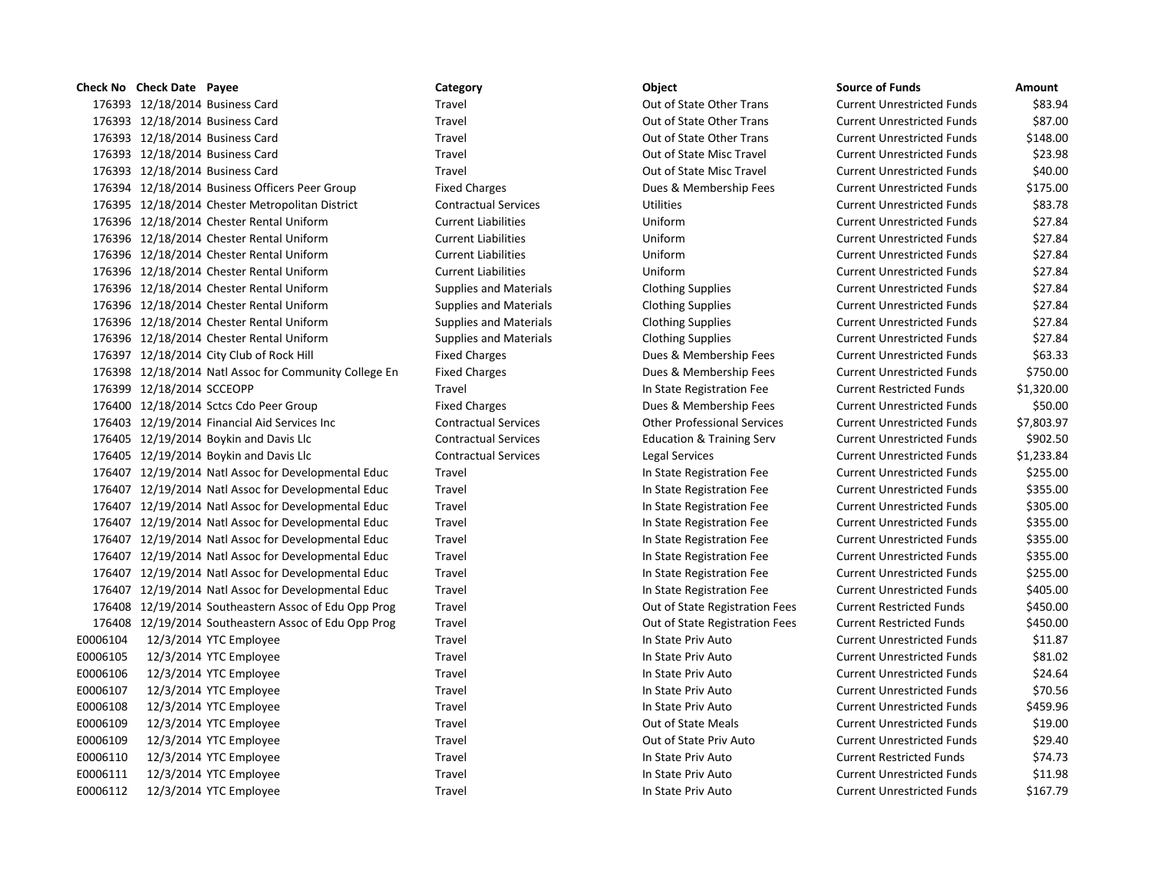|  | Category                                                                                                                                                                                                                                                                                                                                                                                                                                                                                                                                                                                                                                                                                                                                                                                                                                                                                                                                                                                                                                                                                                                                                                                                                                                                                                                                                                                                                                                                                                                                                                                                                                                                                                                                                                                                                                         | Object                               | <b>Source of Funds</b>            | Amount    |
|--|--------------------------------------------------------------------------------------------------------------------------------------------------------------------------------------------------------------------------------------------------------------------------------------------------------------------------------------------------------------------------------------------------------------------------------------------------------------------------------------------------------------------------------------------------------------------------------------------------------------------------------------------------------------------------------------------------------------------------------------------------------------------------------------------------------------------------------------------------------------------------------------------------------------------------------------------------------------------------------------------------------------------------------------------------------------------------------------------------------------------------------------------------------------------------------------------------------------------------------------------------------------------------------------------------------------------------------------------------------------------------------------------------------------------------------------------------------------------------------------------------------------------------------------------------------------------------------------------------------------------------------------------------------------------------------------------------------------------------------------------------------------------------------------------------------------------------------------------------|--------------------------------------|-----------------------------------|-----------|
|  | Travel                                                                                                                                                                                                                                                                                                                                                                                                                                                                                                                                                                                                                                                                                                                                                                                                                                                                                                                                                                                                                                                                                                                                                                                                                                                                                                                                                                                                                                                                                                                                                                                                                                                                                                                                                                                                                                           | Out of State Other Trans             | <b>Current Unrestricted Funds</b> | \$83.9    |
|  | Travel                                                                                                                                                                                                                                                                                                                                                                                                                                                                                                                                                                                                                                                                                                                                                                                                                                                                                                                                                                                                                                                                                                                                                                                                                                                                                                                                                                                                                                                                                                                                                                                                                                                                                                                                                                                                                                           | Out of State Other Trans             | <b>Current Unrestricted Funds</b> | \$87.0    |
|  | Travel                                                                                                                                                                                                                                                                                                                                                                                                                                                                                                                                                                                                                                                                                                                                                                                                                                                                                                                                                                                                                                                                                                                                                                                                                                                                                                                                                                                                                                                                                                                                                                                                                                                                                                                                                                                                                                           | Out of State Other Trans             | <b>Current Unrestricted Funds</b> | \$148.0   |
|  | Travel                                                                                                                                                                                                                                                                                                                                                                                                                                                                                                                                                                                                                                                                                                                                                                                                                                                                                                                                                                                                                                                                                                                                                                                                                                                                                                                                                                                                                                                                                                                                                                                                                                                                                                                                                                                                                                           | Out of State Misc Travel             | <b>Current Unrestricted Funds</b> | \$23.9    |
|  | Travel                                                                                                                                                                                                                                                                                                                                                                                                                                                                                                                                                                                                                                                                                                                                                                                                                                                                                                                                                                                                                                                                                                                                                                                                                                                                                                                                                                                                                                                                                                                                                                                                                                                                                                                                                                                                                                           | Out of State Misc Travel             | <b>Current Unrestricted Funds</b> | \$40.0    |
|  | <b>Fixed Charges</b>                                                                                                                                                                                                                                                                                                                                                                                                                                                                                                                                                                                                                                                                                                                                                                                                                                                                                                                                                                                                                                                                                                                                                                                                                                                                                                                                                                                                                                                                                                                                                                                                                                                                                                                                                                                                                             | Dues & Membership Fees               | <b>Current Unrestricted Funds</b> | \$175.0   |
|  | <b>Contractual Services</b>                                                                                                                                                                                                                                                                                                                                                                                                                                                                                                                                                                                                                                                                                                                                                                                                                                                                                                                                                                                                                                                                                                                                                                                                                                                                                                                                                                                                                                                                                                                                                                                                                                                                                                                                                                                                                      | <b>Utilities</b>                     | <b>Current Unrestricted Funds</b> | \$83.     |
|  | <b>Current Liabilities</b>                                                                                                                                                                                                                                                                                                                                                                                                                                                                                                                                                                                                                                                                                                                                                                                                                                                                                                                                                                                                                                                                                                                                                                                                                                                                                                                                                                                                                                                                                                                                                                                                                                                                                                                                                                                                                       | Uniform                              | <b>Current Unrestricted Funds</b> | \$27.8    |
|  | <b>Current Liabilities</b>                                                                                                                                                                                                                                                                                                                                                                                                                                                                                                                                                                                                                                                                                                                                                                                                                                                                                                                                                                                                                                                                                                                                                                                                                                                                                                                                                                                                                                                                                                                                                                                                                                                                                                                                                                                                                       | Uniform                              | <b>Current Unrestricted Funds</b> | \$27.8    |
|  | <b>Current Liabilities</b>                                                                                                                                                                                                                                                                                                                                                                                                                                                                                                                                                                                                                                                                                                                                                                                                                                                                                                                                                                                                                                                                                                                                                                                                                                                                                                                                                                                                                                                                                                                                                                                                                                                                                                                                                                                                                       | Uniform                              | <b>Current Unrestricted Funds</b> | \$27.8    |
|  | <b>Current Liabilities</b>                                                                                                                                                                                                                                                                                                                                                                                                                                                                                                                                                                                                                                                                                                                                                                                                                                                                                                                                                                                                                                                                                                                                                                                                                                                                                                                                                                                                                                                                                                                                                                                                                                                                                                                                                                                                                       | Uniform                              | <b>Current Unrestricted Funds</b> | \$27.8    |
|  | <b>Supplies and Materials</b>                                                                                                                                                                                                                                                                                                                                                                                                                                                                                                                                                                                                                                                                                                                                                                                                                                                                                                                                                                                                                                                                                                                                                                                                                                                                                                                                                                                                                                                                                                                                                                                                                                                                                                                                                                                                                    | <b>Clothing Supplies</b>             | <b>Current Unrestricted Funds</b> | \$27.8    |
|  | <b>Supplies and Materials</b>                                                                                                                                                                                                                                                                                                                                                                                                                                                                                                                                                                                                                                                                                                                                                                                                                                                                                                                                                                                                                                                                                                                                                                                                                                                                                                                                                                                                                                                                                                                                                                                                                                                                                                                                                                                                                    | <b>Clothing Supplies</b>             | <b>Current Unrestricted Funds</b> | \$27.8    |
|  | <b>Supplies and Materials</b>                                                                                                                                                                                                                                                                                                                                                                                                                                                                                                                                                                                                                                                                                                                                                                                                                                                                                                                                                                                                                                                                                                                                                                                                                                                                                                                                                                                                                                                                                                                                                                                                                                                                                                                                                                                                                    | <b>Clothing Supplies</b>             | <b>Current Unrestricted Funds</b> | \$27.8    |
|  | <b>Supplies and Materials</b>                                                                                                                                                                                                                                                                                                                                                                                                                                                                                                                                                                                                                                                                                                                                                                                                                                                                                                                                                                                                                                                                                                                                                                                                                                                                                                                                                                                                                                                                                                                                                                                                                                                                                                                                                                                                                    | <b>Clothing Supplies</b>             | <b>Current Unrestricted Funds</b> | \$27.8    |
|  | <b>Fixed Charges</b>                                                                                                                                                                                                                                                                                                                                                                                                                                                                                                                                                                                                                                                                                                                                                                                                                                                                                                                                                                                                                                                                                                                                                                                                                                                                                                                                                                                                                                                                                                                                                                                                                                                                                                                                                                                                                             | Dues & Membership Fees               | <b>Current Unrestricted Funds</b> | \$63.3    |
|  | <b>Fixed Charges</b>                                                                                                                                                                                                                                                                                                                                                                                                                                                                                                                                                                                                                                                                                                                                                                                                                                                                                                                                                                                                                                                                                                                                                                                                                                                                                                                                                                                                                                                                                                                                                                                                                                                                                                                                                                                                                             | Dues & Membership Fees               | <b>Current Unrestricted Funds</b> | \$750.0   |
|  | Travel                                                                                                                                                                                                                                                                                                                                                                                                                                                                                                                                                                                                                                                                                                                                                                                                                                                                                                                                                                                                                                                                                                                                                                                                                                                                                                                                                                                                                                                                                                                                                                                                                                                                                                                                                                                                                                           | In State Registration Fee            | <b>Current Restricted Funds</b>   | \$1,320.0 |
|  | <b>Fixed Charges</b>                                                                                                                                                                                                                                                                                                                                                                                                                                                                                                                                                                                                                                                                                                                                                                                                                                                                                                                                                                                                                                                                                                                                                                                                                                                                                                                                                                                                                                                                                                                                                                                                                                                                                                                                                                                                                             | Dues & Membership Fees               | <b>Current Unrestricted Funds</b> | \$50.0    |
|  | <b>Contractual Services</b>                                                                                                                                                                                                                                                                                                                                                                                                                                                                                                                                                                                                                                                                                                                                                                                                                                                                                                                                                                                                                                                                                                                                                                                                                                                                                                                                                                                                                                                                                                                                                                                                                                                                                                                                                                                                                      | <b>Other Professional Services</b>   | <b>Current Unrestricted Funds</b> | \$7,803.  |
|  | <b>Contractual Services</b>                                                                                                                                                                                                                                                                                                                                                                                                                                                                                                                                                                                                                                                                                                                                                                                                                                                                                                                                                                                                                                                                                                                                                                                                                                                                                                                                                                                                                                                                                                                                                                                                                                                                                                                                                                                                                      | <b>Education &amp; Training Serv</b> | <b>Current Unrestricted Funds</b> | \$902.    |
|  | <b>Contractual Services</b>                                                                                                                                                                                                                                                                                                                                                                                                                                                                                                                                                                                                                                                                                                                                                                                                                                                                                                                                                                                                                                                                                                                                                                                                                                                                                                                                                                                                                                                                                                                                                                                                                                                                                                                                                                                                                      | Legal Services                       | <b>Current Unrestricted Funds</b> | \$1,233.  |
|  | Travel                                                                                                                                                                                                                                                                                                                                                                                                                                                                                                                                                                                                                                                                                                                                                                                                                                                                                                                                                                                                                                                                                                                                                                                                                                                                                                                                                                                                                                                                                                                                                                                                                                                                                                                                                                                                                                           | In State Registration Fee            | <b>Current Unrestricted Funds</b> | \$255.0   |
|  | Travel                                                                                                                                                                                                                                                                                                                                                                                                                                                                                                                                                                                                                                                                                                                                                                                                                                                                                                                                                                                                                                                                                                                                                                                                                                                                                                                                                                                                                                                                                                                                                                                                                                                                                                                                                                                                                                           | In State Registration Fee            | <b>Current Unrestricted Funds</b> | \$355.0   |
|  | Travel                                                                                                                                                                                                                                                                                                                                                                                                                                                                                                                                                                                                                                                                                                                                                                                                                                                                                                                                                                                                                                                                                                                                                                                                                                                                                                                                                                                                                                                                                                                                                                                                                                                                                                                                                                                                                                           | In State Registration Fee            | <b>Current Unrestricted Funds</b> | \$305.0   |
|  | Travel                                                                                                                                                                                                                                                                                                                                                                                                                                                                                                                                                                                                                                                                                                                                                                                                                                                                                                                                                                                                                                                                                                                                                                                                                                                                                                                                                                                                                                                                                                                                                                                                                                                                                                                                                                                                                                           | In State Registration Fee            | <b>Current Unrestricted Funds</b> | \$355.0   |
|  | Travel                                                                                                                                                                                                                                                                                                                                                                                                                                                                                                                                                                                                                                                                                                                                                                                                                                                                                                                                                                                                                                                                                                                                                                                                                                                                                                                                                                                                                                                                                                                                                                                                                                                                                                                                                                                                                                           | In State Registration Fee            | <b>Current Unrestricted Funds</b> | \$355.0   |
|  | Travel                                                                                                                                                                                                                                                                                                                                                                                                                                                                                                                                                                                                                                                                                                                                                                                                                                                                                                                                                                                                                                                                                                                                                                                                                                                                                                                                                                                                                                                                                                                                                                                                                                                                                                                                                                                                                                           | In State Registration Fee            | <b>Current Unrestricted Funds</b> | \$355.0   |
|  | Travel                                                                                                                                                                                                                                                                                                                                                                                                                                                                                                                                                                                                                                                                                                                                                                                                                                                                                                                                                                                                                                                                                                                                                                                                                                                                                                                                                                                                                                                                                                                                                                                                                                                                                                                                                                                                                                           | In State Registration Fee            | <b>Current Unrestricted Funds</b> | \$255.0   |
|  | Travel                                                                                                                                                                                                                                                                                                                                                                                                                                                                                                                                                                                                                                                                                                                                                                                                                                                                                                                                                                                                                                                                                                                                                                                                                                                                                                                                                                                                                                                                                                                                                                                                                                                                                                                                                                                                                                           | In State Registration Fee            | <b>Current Unrestricted Funds</b> | \$405.    |
|  | Travel                                                                                                                                                                                                                                                                                                                                                                                                                                                                                                                                                                                                                                                                                                                                                                                                                                                                                                                                                                                                                                                                                                                                                                                                                                                                                                                                                                                                                                                                                                                                                                                                                                                                                                                                                                                                                                           | Out of State Registration Fees       | <b>Current Restricted Funds</b>   | \$450.    |
|  | Travel                                                                                                                                                                                                                                                                                                                                                                                                                                                                                                                                                                                                                                                                                                                                                                                                                                                                                                                                                                                                                                                                                                                                                                                                                                                                                                                                                                                                                                                                                                                                                                                                                                                                                                                                                                                                                                           | Out of State Registration Fees       | <b>Current Restricted Funds</b>   | \$450.0   |
|  | Travel                                                                                                                                                                                                                                                                                                                                                                                                                                                                                                                                                                                                                                                                                                                                                                                                                                                                                                                                                                                                                                                                                                                                                                                                                                                                                                                                                                                                                                                                                                                                                                                                                                                                                                                                                                                                                                           | In State Priv Auto                   | <b>Current Unrestricted Funds</b> | \$11.8    |
|  | Travel                                                                                                                                                                                                                                                                                                                                                                                                                                                                                                                                                                                                                                                                                                                                                                                                                                                                                                                                                                                                                                                                                                                                                                                                                                                                                                                                                                                                                                                                                                                                                                                                                                                                                                                                                                                                                                           | In State Priv Auto                   | <b>Current Unrestricted Funds</b> | \$81.0    |
|  | Travel                                                                                                                                                                                                                                                                                                                                                                                                                                                                                                                                                                                                                                                                                                                                                                                                                                                                                                                                                                                                                                                                                                                                                                                                                                                                                                                                                                                                                                                                                                                                                                                                                                                                                                                                                                                                                                           | In State Priv Auto                   | <b>Current Unrestricted Funds</b> | \$24.0    |
|  | Travel                                                                                                                                                                                                                                                                                                                                                                                                                                                                                                                                                                                                                                                                                                                                                                                                                                                                                                                                                                                                                                                                                                                                                                                                                                                                                                                                                                                                                                                                                                                                                                                                                                                                                                                                                                                                                                           | In State Priv Auto                   | <b>Current Unrestricted Funds</b> | \$70.     |
|  | Travel                                                                                                                                                                                                                                                                                                                                                                                                                                                                                                                                                                                                                                                                                                                                                                                                                                                                                                                                                                                                                                                                                                                                                                                                                                                                                                                                                                                                                                                                                                                                                                                                                                                                                                                                                                                                                                           | In State Priv Auto                   | <b>Current Unrestricted Funds</b> | \$459.9   |
|  | Travel                                                                                                                                                                                                                                                                                                                                                                                                                                                                                                                                                                                                                                                                                                                                                                                                                                                                                                                                                                                                                                                                                                                                                                                                                                                                                                                                                                                                                                                                                                                                                                                                                                                                                                                                                                                                                                           | Out of State Meals                   | <b>Current Unrestricted Funds</b> | \$19.0    |
|  | Travel                                                                                                                                                                                                                                                                                                                                                                                                                                                                                                                                                                                                                                                                                                                                                                                                                                                                                                                                                                                                                                                                                                                                                                                                                                                                                                                                                                                                                                                                                                                                                                                                                                                                                                                                                                                                                                           | Out of State Priv Auto               | <b>Current Unrestricted Funds</b> | \$29.4    |
|  | Travel                                                                                                                                                                                                                                                                                                                                                                                                                                                                                                                                                                                                                                                                                                                                                                                                                                                                                                                                                                                                                                                                                                                                                                                                                                                                                                                                                                                                                                                                                                                                                                                                                                                                                                                                                                                                                                           | In State Priv Auto                   | <b>Current Restricted Funds</b>   | \$74.     |
|  | Travel                                                                                                                                                                                                                                                                                                                                                                                                                                                                                                                                                                                                                                                                                                                                                                                                                                                                                                                                                                                                                                                                                                                                                                                                                                                                                                                                                                                                                                                                                                                                                                                                                                                                                                                                                                                                                                           | In State Priv Auto                   | <b>Current Unrestricted Funds</b> | \$11.9    |
|  | Travel                                                                                                                                                                                                                                                                                                                                                                                                                                                                                                                                                                                                                                                                                                                                                                                                                                                                                                                                                                                                                                                                                                                                                                                                                                                                                                                                                                                                                                                                                                                                                                                                                                                                                                                                                                                                                                           | In State Priv Auto                   | <b>Current Unrestricted Funds</b> | \$167.    |
|  | <b>Check No</b> Check Date Payee<br>176393 12/18/2014 Business Card<br>176393 12/18/2014 Business Card<br>176393 12/18/2014 Business Card<br>176393 12/18/2014 Business Card<br>176393 12/18/2014 Business Card<br>176394 12/18/2014 Business Officers Peer Group<br>176395 12/18/2014 Chester Metropolitan District<br>176396 12/18/2014 Chester Rental Uniform<br>176396 12/18/2014 Chester Rental Uniform<br>176396 12/18/2014 Chester Rental Uniform<br>176396 12/18/2014 Chester Rental Uniform<br>176396 12/18/2014 Chester Rental Uniform<br>176396 12/18/2014 Chester Rental Uniform<br>176396 12/18/2014 Chester Rental Uniform<br>176396 12/18/2014 Chester Rental Uniform<br>176397 12/18/2014 City Club of Rock Hill<br>176398 12/18/2014 Natl Assoc for Community College En<br>176399 12/18/2014 SCCEOPP<br>176400 12/18/2014 Sctcs Cdo Peer Group<br>176403 12/19/2014 Financial Aid Services Inc<br>176405 12/19/2014 Boykin and Davis Llc<br>176405 12/19/2014 Boykin and Davis Llc<br>176407 12/19/2014 Natl Assoc for Developmental Educ<br>176407 12/19/2014 Natl Assoc for Developmental Educ<br>176407 12/19/2014 Natl Assoc for Developmental Educ<br>176407 12/19/2014 Natl Assoc for Developmental Educ<br>176407 12/19/2014 Natl Assoc for Developmental Educ<br>176407 12/19/2014 Natl Assoc for Developmental Educ<br>176407 12/19/2014 Natl Assoc for Developmental Educ<br>176407 12/19/2014 Natl Assoc for Developmental Educ<br>176408 12/19/2014 Southeastern Assoc of Edu Opp Prog<br>176408 12/19/2014 Southeastern Assoc of Edu Opp Prog<br>12/3/2014 YTC Employee<br>12/3/2014 YTC Employee<br>12/3/2014 YTC Employee<br>12/3/2014 YTC Employee<br>12/3/2014 YTC Employee<br>12/3/2014 YTC Employee<br>12/3/2014 YTC Employee<br>12/3/2014 YTC Employee<br>12/3/2014 YTC Employee<br>12/3/2014 YTC Employee |                                      |                                   |           |

# 176393 12/18/2014 Business Card Travel Out of State Other Trans Current Unrestricted Funds \$83.94 176393 12/18/2014 Business Card Travel Out of State Other Trans Current Unrestricted Funds \$87.00 176393 12/18/2014 Business Card Travel Out of State Other Trans Current Unrestricted Funds \$148.00 176393 12/18/2014 Business Card Travel Out of State Misc Travel Current Unrestricted Funds \$23.98 176393 12/18/2014 Business Card Travel Out of State Misc Travel Current Unrestricted Funds \$40.00 Fixed Charges The Summers Oues & Membership Fees Current Unrestricted Funds \$175.00 176395 12/18/2014 Chester Metropolitan District Contractual Services Utilities Current Unrestricted Funds \$83.78 176396 12/18/2014 Chester Rental Uniform Current Liabilities Uniform Current Unrestricted Funds \$27.84 176396 12/18/2014 Chester Rental Uniform Current Liabilities Uniform Current Unrestricted Funds \$27.84 176396 12/18/2014 Chester Rental Uniform Current Liabilities Uniform Current Unrestricted Funds \$27.84 176396 12/18/2014 Chester Rental Uniform Current Liabilities Uniform Current Unrestricted Funds \$27.84 176396 12/18/2014 Chester Rental Uniform Supplies and Materials Clothing Supplies Current Unrestricted Funds \$27.84 176396 12/18/2014 Chester Rental Uniform Supplies and Materials Clothing Supplies Current Unrestricted Funds \$27.84 176396 12/18/2014 Chester Rental Uniform Supplies and Materials Clothing Supplies Current Unrestricted Funds \$27.84 176396 12/18/2014 Chester Rental Uniform Supplies and Materials Clothing Supplies Current Unrestricted Funds \$27.84 Fixed Charges The South of Rock Hill Fixed Charges Allen Fixed Charges Dues & Membership Fees Current Unrestricted Funds \$63.33 Fixed Charges The Community Community Community Community Community Community Contract Association Community Co 11 17639 12.320.00 Travel In State Registration Fee Current Restricted Funds \$1,320.00 1764 17640 12/18/2014 Tixed Charges Current Unrestricted Funds States Current Unrestricted Funds 550.00 176403 12/19/2014 Financial Aid Services Inc Contractual Services Other Professional Services Current Unrestricted Funds \$7,803.97 176405 12/19/2014 Boykin and Davis Llc Contractual Services Education & Training Serv Current Unrestricted Funds \$902.50 17.233.84 12,233.84 Legal Services Legal Services Current Unrestricted Funds \$1,233.84 1767 1276 12/19/2014 In State Registration Fee Current Unrestricted Funds \$255.00 1767 1276 12/19/2014 Travel In State Registration Fee Current Unrestricted Funds \$355.00 176407 12/19/2014 Natl Assoc for Developmental Educ Travel In State Registration Fee Current Unrestricted Funds \$305.00 1767 12021 12021 12022 In State Registration Fee Current Unrestricted Funds \$355.00 1767 1276 12/19/2014 Travel In State Registration Fee Current Unrestricted Funds \$355.00 176407 12/19/2014 Natl Assoc for Developmental Educ Travel In State Registration Fee Current Unrestricted Funds \$355.00 1767 12021 12021 12/19/2014 In State Registration Fee Current Unrestricted Funds \$255.00 1767 1276 12/19/2014 Travel In State Registration Fee Current Unrestricted Funds \$405.00 176408 12/19/2014 Southeastern Assoc of Edu Opp Prog Travel Out of State Registration Fees Current Restricted Funds \$450.00 1764 12/19/2015 17640 12/2014 Cut of State Registration Fees Current Restricted Funds \$450.00 E0006104 12/3/2014 YTC Employee Travel In State Priv Auto Current Unrestricted Funds \$11.87 E0006105 12/3/2014 YTC Employee Travel In State Priv Auto Current Unrestricted Funds \$81.02 E0006106 12/3/2014 YTC Employee Travel In State Priv Auto Current Unrestricted Funds \$24.64 E0006107 12/3/2014 YTC Employee Travel In State Priv Auto Current Unrestricted Funds \$70.56 E0006108 10006108 12/3/2014 In State Priv Auto Current Unrestricted Funds \$459.96 Travel **EXECUTE:** Travel Current Unrestricted Funds \$19.00 E0006109 12/3/2014 YTC Employee Travel Out of State Priv Auto Current Unrestricted Funds \$29.40 Endel Travel 10 120061 120061 12014 In State Priv Auto Current Restricted Funds 574.73 E0006111 12/3/2014 YTC Employee Travel In State Priv Auto Current Unrestricted Funds \$11.98 Travel **Education Concernsive Current Unrestricted Funds** 5167.79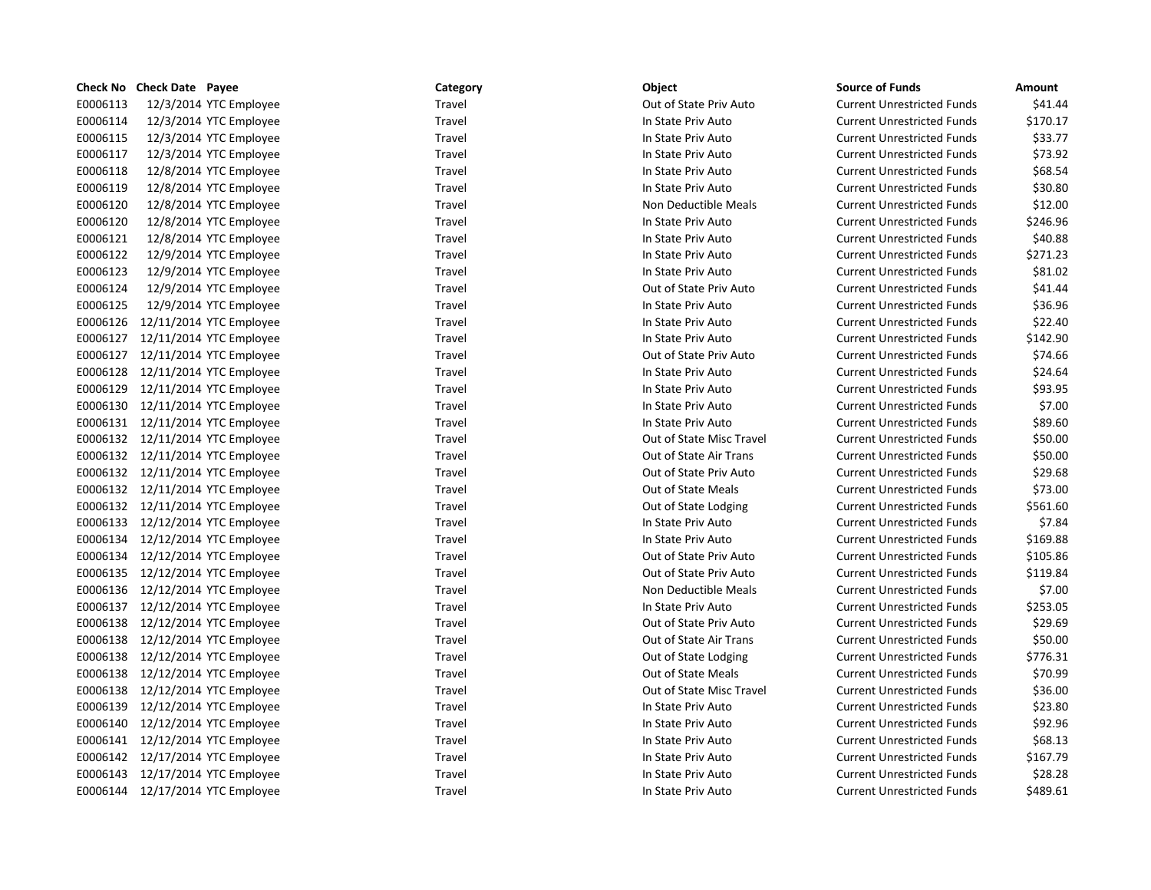|          | <b>Check No Check Date Payee</b> |                                  | Category | Object                    | <b>Source of Funds</b>            | Amount   |
|----------|----------------------------------|----------------------------------|----------|---------------------------|-----------------------------------|----------|
| E0006113 |                                  | 12/3/2014 YTC Employee           | Travel   | Out of State Priv Auto    | <b>Current Unrestricted Funds</b> | \$41.44  |
| E0006114 |                                  | 12/3/2014 YTC Employee           | Travel   | In State Priv Auto        | <b>Current Unrestricted Funds</b> | \$170.17 |
| E0006115 |                                  | 12/3/2014 YTC Employee           | Travel   | In State Priv Auto        | <b>Current Unrestricted Funds</b> | \$33.77  |
| E0006117 |                                  | 12/3/2014 YTC Employee           | Travel   | In State Priv Auto        | <b>Current Unrestricted Funds</b> | \$73.92  |
| E0006118 |                                  | 12/8/2014 YTC Employee           | Travel   | In State Priv Auto        | <b>Current Unrestricted Funds</b> | \$68.54  |
| E0006119 |                                  | 12/8/2014 YTC Employee           | Travel   | In State Priv Auto        | <b>Current Unrestricted Funds</b> | \$30.80  |
| E0006120 |                                  | 12/8/2014 YTC Employee           | Travel   | Non Deductible Meals      | <b>Current Unrestricted Funds</b> | \$12.00  |
| E0006120 |                                  | 12/8/2014 YTC Employee           | Travel   | In State Priv Auto        | <b>Current Unrestricted Funds</b> | \$246.96 |
| E0006121 |                                  | 12/8/2014 YTC Employee           | Travel   | In State Priv Auto        | <b>Current Unrestricted Funds</b> | \$40.88  |
| E0006122 |                                  | 12/9/2014 YTC Employee           | Travel   | In State Priv Auto        | <b>Current Unrestricted Funds</b> | \$271.23 |
| E0006123 |                                  | 12/9/2014 YTC Employee           | Travel   | In State Priv Auto        | <b>Current Unrestricted Funds</b> | \$81.02  |
| E0006124 |                                  | 12/9/2014 YTC Employee           | Travel   | Out of State Priv Auto    | <b>Current Unrestricted Funds</b> | \$41.44  |
| E0006125 |                                  | 12/9/2014 YTC Employee           | Travel   | In State Priv Auto        | <b>Current Unrestricted Funds</b> | \$36.96  |
| E0006126 |                                  | 12/11/2014 YTC Employee          | Travel   | In State Priv Auto        | <b>Current Unrestricted Funds</b> | \$22.40  |
|          |                                  | E0006127 12/11/2014 YTC Employee | Travel   | In State Priv Auto        | <b>Current Unrestricted Funds</b> | \$142.90 |
|          |                                  | E0006127 12/11/2014 YTC Employee | Travel   | Out of State Priv Auto    | <b>Current Unrestricted Funds</b> | \$74.66  |
|          |                                  | E0006128 12/11/2014 YTC Employee | Travel   | In State Priv Auto        | <b>Current Unrestricted Funds</b> | \$24.64  |
| E0006129 |                                  | 12/11/2014 YTC Employee          | Travel   | In State Priv Auto        | <b>Current Unrestricted Funds</b> | \$93.95  |
|          |                                  | E0006130 12/11/2014 YTC Employee | Travel   | In State Priv Auto        | <b>Current Unrestricted Funds</b> | \$7.00   |
|          |                                  | E0006131 12/11/2014 YTC Employee | Travel   | In State Priv Auto        | <b>Current Unrestricted Funds</b> | \$89.60  |
|          |                                  | E0006132 12/11/2014 YTC Employee | Travel   | Out of State Misc Travel  | <b>Current Unrestricted Funds</b> | \$50.00  |
|          |                                  | E0006132 12/11/2014 YTC Employee | Travel   | Out of State Air Trans    | <b>Current Unrestricted Funds</b> | \$50.00  |
|          |                                  | E0006132 12/11/2014 YTC Employee | Travel   | Out of State Priv Auto    | <b>Current Unrestricted Funds</b> | \$29.68  |
|          |                                  | E0006132 12/11/2014 YTC Employee | Travel   | Out of State Meals        | <b>Current Unrestricted Funds</b> | \$73.00  |
|          |                                  | E0006132 12/11/2014 YTC Employee | Travel   | Out of State Lodging      | <b>Current Unrestricted Funds</b> | \$561.60 |
|          |                                  | E0006133 12/12/2014 YTC Employee | Travel   | In State Priv Auto        | <b>Current Unrestricted Funds</b> | \$7.84   |
|          |                                  | E0006134 12/12/2014 YTC Employee | Travel   | In State Priv Auto        | <b>Current Unrestricted Funds</b> | \$169.88 |
|          |                                  | E0006134 12/12/2014 YTC Employee | Travel   | Out of State Priv Auto    | <b>Current Unrestricted Funds</b> | \$105.86 |
|          |                                  | E0006135 12/12/2014 YTC Employee | Travel   | Out of State Priv Auto    | <b>Current Unrestricted Funds</b> | \$119.84 |
|          |                                  | E0006136 12/12/2014 YTC Employee | Travel   | Non Deductible Meals      | <b>Current Unrestricted Funds</b> | \$7.00   |
|          |                                  | E0006137 12/12/2014 YTC Employee | Travel   | In State Priv Auto        | <b>Current Unrestricted Funds</b> | \$253.05 |
|          |                                  | E0006138 12/12/2014 YTC Employee | Travel   | Out of State Priv Auto    | <b>Current Unrestricted Funds</b> | \$29.69  |
|          |                                  | E0006138 12/12/2014 YTC Employee | Travel   | Out of State Air Trans    | <b>Current Unrestricted Funds</b> | \$50.00  |
|          |                                  | E0006138 12/12/2014 YTC Employee | Travel   | Out of State Lodging      | <b>Current Unrestricted Funds</b> | \$776.31 |
|          |                                  | E0006138 12/12/2014 YTC Employee | Travel   | <b>Out of State Meals</b> | <b>Current Unrestricted Funds</b> | \$70.99  |
|          |                                  | E0006138 12/12/2014 YTC Employee | Travel   | Out of State Misc Travel  | <b>Current Unrestricted Funds</b> | \$36.00  |
|          |                                  | E0006139 12/12/2014 YTC Employee | Travel   | In State Priv Auto        | <b>Current Unrestricted Funds</b> | \$23.80  |
| E0006140 |                                  | 12/12/2014 YTC Employee          | Travel   | In State Priv Auto        | <b>Current Unrestricted Funds</b> | \$92.96  |
|          |                                  | E0006141 12/12/2014 YTC Employee | Travel   | In State Priv Auto        | <b>Current Unrestricted Funds</b> | \$68.13  |
|          |                                  | E0006142 12/17/2014 YTC Employee | Travel   | In State Priv Auto        | <b>Current Unrestricted Funds</b> | \$167.79 |
|          |                                  | E0006143 12/17/2014 YTC Employee | Travel   | In State Priv Auto        | <b>Current Unrestricted Funds</b> | \$28.28  |
|          |                                  | E0006144 12/17/2014 YTC Employee | Travel   | In State Priv Auto        | <b>Current Unrestricted Funds</b> | \$489.61 |